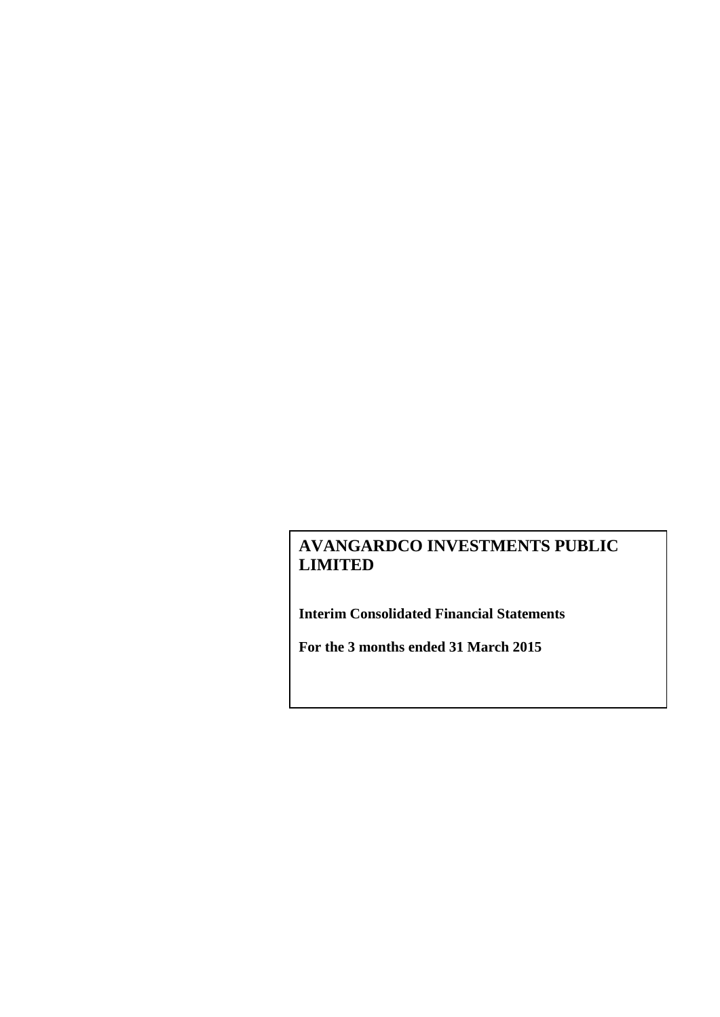**Interim Consolidated Financial Statements**

**For the 3 months ended 31 March 2015**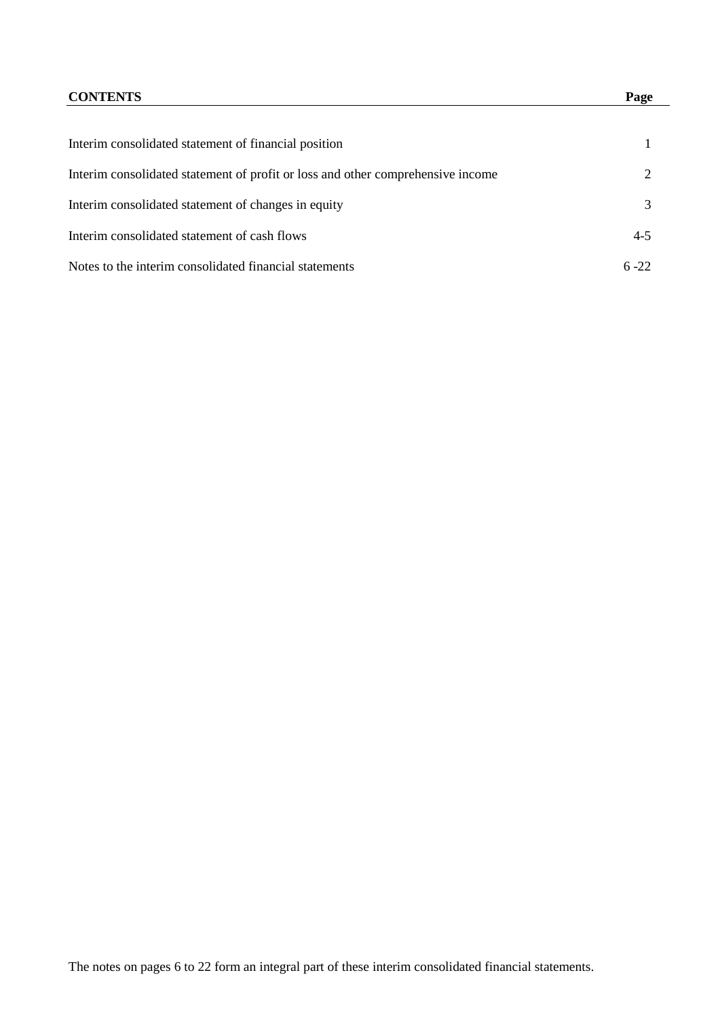# **CONTENTS Page**

| Interim consolidated statement of financial position                            |          |
|---------------------------------------------------------------------------------|----------|
| Interim consolidated statement of profit or loss and other comprehensive income |          |
| Interim consolidated statement of changes in equity                             |          |
| Interim consolidated statement of cash flows                                    | $4 - 5$  |
| Notes to the interim consolidated financial statements                          | $6 - 22$ |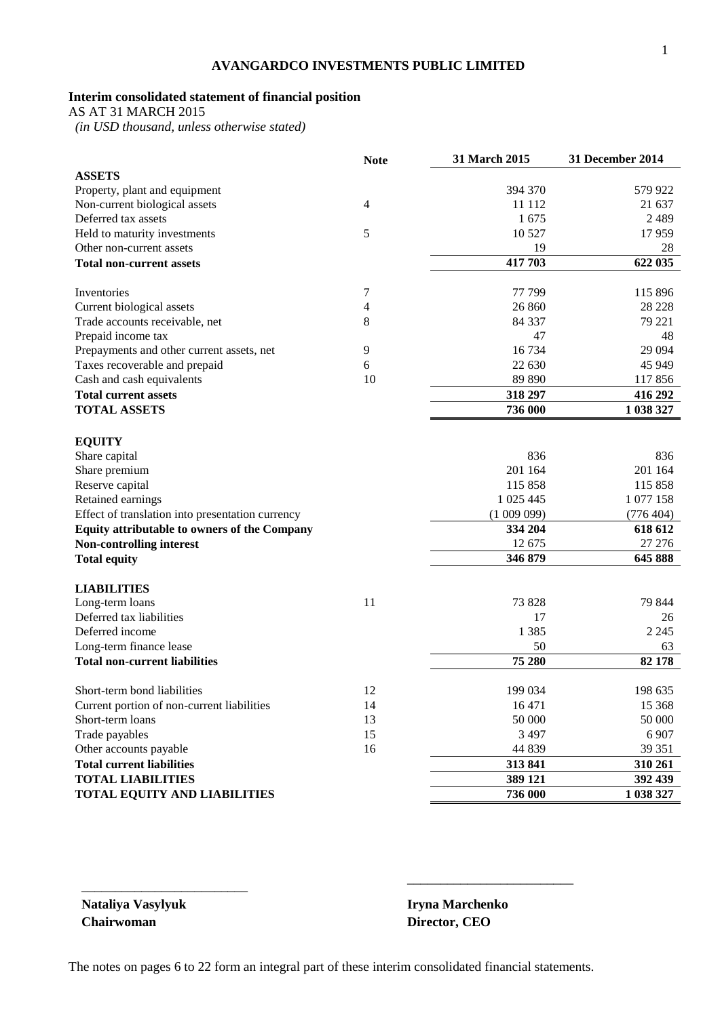# **Interim consolidated statement of financial position**

AS AT 31 MARCH 2015

 *(in USD thousand, unless otherwise stated)*

|                                                  | <b>Note</b>    | 31 March 2015 | 31 December 2014 |
|--------------------------------------------------|----------------|---------------|------------------|
| <b>ASSETS</b>                                    |                |               |                  |
| Property, plant and equipment                    |                | 394 370       | 579 922          |
| Non-current biological assets                    | $\overline{4}$ | 11 112        | 21 637           |
| Deferred tax assets                              |                | 1675          | 2489             |
| Held to maturity investments                     | 5              | 10 5 27       | 17959            |
| Other non-current assets                         |                | 19            | 28               |
| <b>Total non-current assets</b>                  |                | 417 703       | 622 035          |
| Inventories                                      | 7              | 77 799        | 115 896          |
| Current biological assets                        | 4              | 26 860        | 28 228           |
| Trade accounts receivable, net                   | 8              | 84 337        | 79 221           |
| Prepaid income tax                               |                | 47            | 48               |
| Prepayments and other current assets, net        | 9              | 16 734        | 29 0 94          |
| Taxes recoverable and prepaid                    | 6              | 22 630        | 45 949           |
| Cash and cash equivalents                        | 10             | 89 890        | 117856           |
| <b>Total current assets</b>                      |                | 318 297       | 416 292          |
| <b>TOTAL ASSETS</b>                              |                | 736 000       | 1 038 327        |
|                                                  |                |               |                  |
| <b>EQUITY</b><br>Share capital                   |                | 836           | 836              |
| Share premium                                    |                | 201 164       | 201 164          |
| Reserve capital                                  |                | 115 858       | 115 858          |
| Retained earnings                                |                | 1 025 445     | 1 077 158        |
| Effect of translation into presentation currency |                | (100909)      | (776 404)        |
| Equity attributable to owners of the Company     |                | 334 204       | 618 612          |
| <b>Non-controlling interest</b>                  |                | 12 675        | 27 27 6          |
| <b>Total equity</b>                              |                | 346 879       | 645 888          |
|                                                  |                |               |                  |
| <b>LIABILITIES</b>                               |                |               |                  |
| Long-term loans<br>Deferred tax liabilities      | 11             | 73 828        | 79 844           |
| Deferred income                                  |                | 17<br>1 3 8 5 | 26<br>2 2 4 5    |
| Long-term finance lease                          |                | 50            | 63               |
|                                                  |                | 75 280        |                  |
| <b>Total non-current liabilities</b>             |                |               | 82 178           |
| Short-term bond liabilities                      | 12             | 199 034       | 198 635          |
| Current portion of non-current liabilities       | 14             | 16 471        | 15 3 68          |
| Short-term loans                                 | 13             | 50 000        | 50 000           |
| Trade payables                                   | 15             | 3 4 9 7       | 6 9 0 7          |
| Other accounts payable                           | 16             | 44 839        | 39 351           |
| <b>Total current liabilities</b>                 |                | 313 841       | 310 261          |
| <b>TOTAL LIABILITIES</b>                         |                | 389 121       | 392 439          |
| <b>TOTAL EQUITY AND LIABILITIES</b>              |                | 736 000       | 1 038 327        |

**Chairwoman Director, CEO**

\_\_\_\_\_\_\_\_\_\_\_\_\_\_\_\_\_\_\_\_\_\_\_\_\_

**Nataliya Vasylyuk Iryna Marchenko**

\_\_\_\_\_\_\_\_\_\_\_\_\_\_\_\_\_\_\_\_\_\_\_\_\_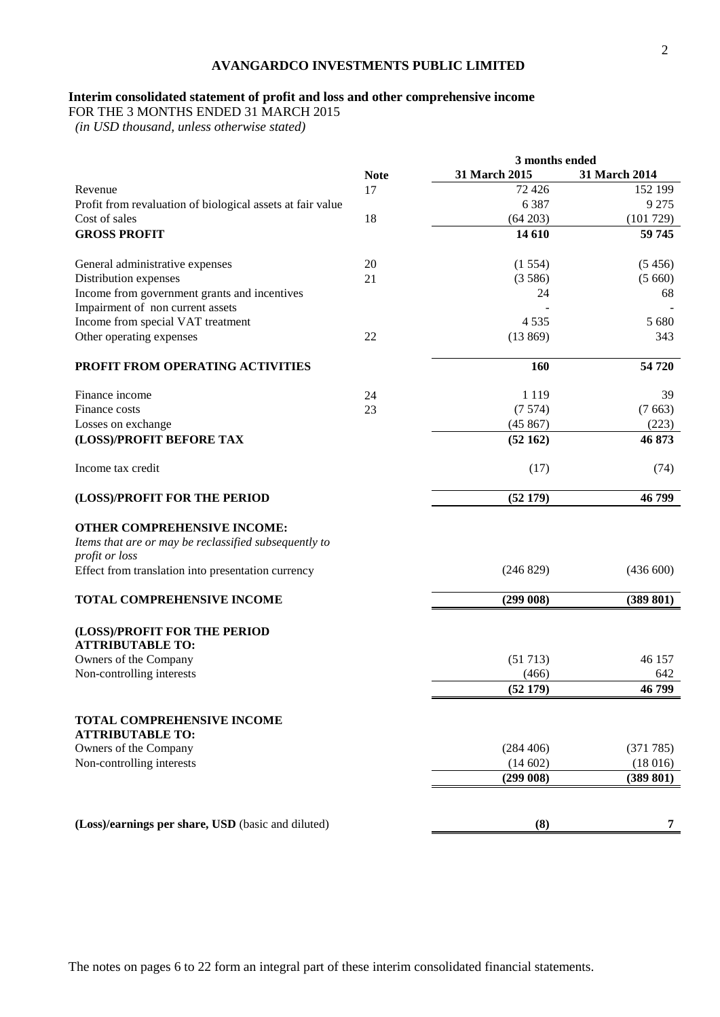## **Interim consolidated statement of profit and loss and other comprehensive income**

FOR THE 3 MONTHS ENDED 31 MARCH 2015

|                                                                                                                                                              |             | 3 months ended |               |
|--------------------------------------------------------------------------------------------------------------------------------------------------------------|-------------|----------------|---------------|
|                                                                                                                                                              | <b>Note</b> | 31 March 2015  | 31 March 2014 |
| Revenue                                                                                                                                                      | 17          | 72 4 26        | 152 199       |
| Profit from revaluation of biological assets at fair value                                                                                                   |             | 6 3 8 7        | 9 2 7 5       |
| Cost of sales                                                                                                                                                | 18          | (64 203)       | (101729)      |
| <b>GROSS PROFIT</b>                                                                                                                                          |             | 14 610         | 59 745        |
| General administrative expenses                                                                                                                              | 20          | (1554)         | (5456)        |
| Distribution expenses                                                                                                                                        | 21          | (3586)         | (5660)        |
| Income from government grants and incentives                                                                                                                 |             | 24             | 68            |
| Impairment of non current assets                                                                                                                             |             |                |               |
| Income from special VAT treatment                                                                                                                            |             | 4 5 3 5        | 5 680         |
| Other operating expenses                                                                                                                                     | 22          | (13869)        | 343           |
| PROFIT FROM OPERATING ACTIVITIES                                                                                                                             |             | 160            | 54 720        |
|                                                                                                                                                              |             |                |               |
| Finance income                                                                                                                                               | 24          | 1 1 1 9        | 39            |
| Finance costs                                                                                                                                                | 23          | (7574)         | (7663)        |
| Losses on exchange                                                                                                                                           |             | (45867)        | (223)         |
| (LOSS)/PROFIT BEFORE TAX                                                                                                                                     |             | (52162)        | 46 873        |
| Income tax credit                                                                                                                                            |             | (17)           | (74)          |
| (LOSS)/PROFIT FOR THE PERIOD                                                                                                                                 |             | (52179)        | 46799         |
| OTHER COMPREHENSIVE INCOME:<br>Items that are or may be reclassified subsequently to<br>profit or loss<br>Effect from translation into presentation currency |             | (246 829)      | (436 600)     |
| TOTAL COMPREHENSIVE INCOME                                                                                                                                   |             | (299008)       | (389 801)     |
| (LOSS)/PROFIT FOR THE PERIOD<br><b>ATTRIBUTABLE TO:</b>                                                                                                      |             |                |               |
| Owners of the Company                                                                                                                                        |             | (51713)        | 46 157        |
| Non-controlling interests                                                                                                                                    |             | (466)          | 642           |
|                                                                                                                                                              |             | (52179)        | 46 799        |
| <b>TOTAL COMPREHENSIVE INCOME</b><br><b>ATTRIBUTABLE TO:</b>                                                                                                 |             |                |               |
| Owners of the Company                                                                                                                                        |             | (284 406)      | (371785)      |
| Non-controlling interests                                                                                                                                    |             | (14602)        | (18016)       |
|                                                                                                                                                              |             | (299008)       | (389 801)     |
|                                                                                                                                                              |             |                |               |
| (Loss)/earnings per share, USD (basic and diluted)                                                                                                           |             | (8)            | 7             |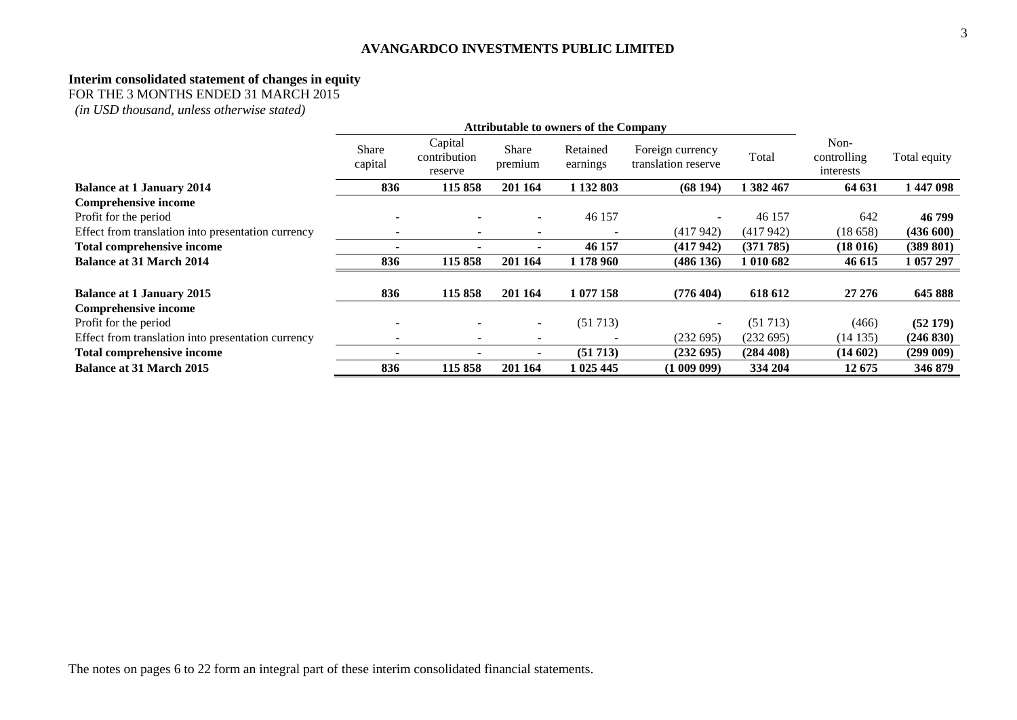### **Interim consolidated statement of changes in equity**

FOR THE 3 MONTHS ENDED 31 MARCH 2015

|                                                    | <b>Attributable to owners of the Company</b> |                                    |                          |                      |                                         |           |                                  |              |
|----------------------------------------------------|----------------------------------------------|------------------------------------|--------------------------|----------------------|-----------------------------------------|-----------|----------------------------------|--------------|
|                                                    | Share<br>capital                             | Capital<br>contribution<br>reserve | <b>Share</b><br>premium  | Retained<br>earnings | Foreign currency<br>translation reserve | Total     | Non-<br>controlling<br>interests | Total equity |
| <b>Balance at 1 January 2014</b>                   | 836                                          | 115858                             | 201 164                  | 1 132 803            | (68194)                                 | 1 382 467 | 64 631                           | 1 447 098    |
| <b>Comprehensive income</b>                        |                                              |                                    |                          |                      |                                         |           |                                  |              |
| Profit for the period                              | $\overline{\phantom{a}}$                     |                                    | $\overline{\phantom{a}}$ | 46 157               | $\overline{\phantom{a}}$                | 46 157    | 642                              | 46 799       |
| Effect from translation into presentation currency |                                              |                                    |                          |                      | (417942)                                | (417942)  | (18658)                          | (436 600)    |
| <b>Total comprehensive income</b>                  |                                              |                                    |                          | 46 157               | (417942)                                | (371785)  | (18016)                          | (389 801)    |
| <b>Balance at 31 March 2014</b>                    | 836                                          | 115858                             | 201 164                  | 1 178 960            | (486 136)                               | 1 010 682 | 46 615                           | 1 057 297    |
| <b>Balance at 1 January 2015</b>                   | 836                                          | 115858                             | 201 164                  | 1 077 158            | (776 404)                               | 618 612   | 27 27 6                          | 645 888      |
| <b>Comprehensive income</b>                        |                                              |                                    |                          |                      |                                         |           |                                  |              |
| Profit for the period                              | $\overline{\phantom{a}}$                     |                                    | $\overline{\phantom{a}}$ | (51713)              | $\sim$                                  | (51713)   | (466)                            | (52179)      |
| Effect from translation into presentation currency | $\overline{\phantom{a}}$                     | $\overline{\phantom{a}}$           | -                        |                      | (232 695)                               | (232695)  | (14135)                          | (246 830)    |
| Total comprehensive income                         |                                              |                                    |                          | (51713)              | (232 695)                               | (284 408) | (14602)                          | (299009)     |
| <b>Balance at 31 March 2015</b>                    | 836                                          | 115 858                            | 201 164                  | 1 025 445            | (100909)                                | 334 204   | 12675                            | 346 879      |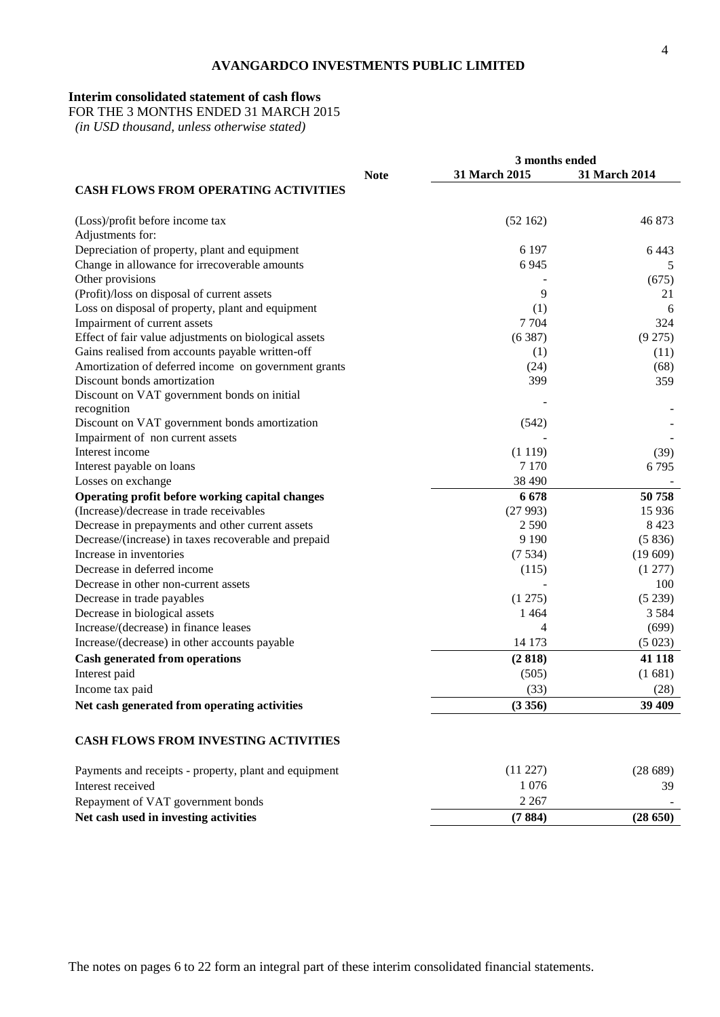# **Interim consolidated statement of cash flows**

FOR THE 3 MONTHS ENDED 31 MARCH 2015

|                                                                                 |             | 3 months ended     |                    |  |
|---------------------------------------------------------------------------------|-------------|--------------------|--------------------|--|
|                                                                                 | <b>Note</b> | 31 March 2015      | 31 March 2014      |  |
| <b>CASH FLOWS FROM OPERATING ACTIVITIES</b>                                     |             |                    |                    |  |
| (Loss)/profit before income tax                                                 |             | (52162)            | 46873              |  |
| Adjustments for:                                                                |             |                    |                    |  |
| Depreciation of property, plant and equipment                                   |             | 6 1 9 7            | 6443               |  |
| Change in allowance for irrecoverable amounts                                   |             | 6945               | 5                  |  |
| Other provisions                                                                |             |                    | (675)              |  |
| (Profit)/loss on disposal of current assets                                     |             | 9                  | 21                 |  |
| Loss on disposal of property, plant and equipment                               |             | (1)                | 6                  |  |
| Impairment of current assets                                                    |             | 7704               | 324                |  |
| Effect of fair value adjustments on biological assets                           |             | (6387)             | (9275)             |  |
| Gains realised from accounts payable written-off                                |             | (1)                | (11)               |  |
| Amortization of deferred income on government grants                            |             | (24)               | (68)               |  |
| Discount bonds amortization                                                     |             | 399                | 359                |  |
| Discount on VAT government bonds on initial                                     |             |                    |                    |  |
| recognition                                                                     |             |                    |                    |  |
| Discount on VAT government bonds amortization                                   |             | (542)              |                    |  |
| Impairment of non current assets                                                |             |                    |                    |  |
| Interest income                                                                 |             | (1119)             | (39)               |  |
| Interest payable on loans                                                       |             | 7 1 7 0            | 6795               |  |
| Losses on exchange                                                              |             | 38 4 9 0           |                    |  |
| Operating profit before working capital changes                                 |             | 6678               | 50758              |  |
| (Increase)/decrease in trade receivables                                        |             | (27993)<br>2 5 9 0 | 15 9 36<br>8 4 2 3 |  |
| Decrease in prepayments and other current assets                                |             | 9 1 9 0            | (5836)             |  |
| Decrease/(increase) in taxes recoverable and prepaid<br>Increase in inventories |             |                    | (19609)            |  |
| Decrease in deferred income                                                     |             | (7534)             |                    |  |
| Decrease in other non-current assets                                            |             | (115)              | (1 277)<br>100     |  |
| Decrease in trade payables                                                      |             | (1275)             | (5239)             |  |
| Decrease in biological assets                                                   |             | 1464               | 3 5 8 4            |  |
| Increase/(decrease) in finance leases                                           |             | 4                  | (699)              |  |
| Increase/(decrease) in other accounts payable                                   |             | 14 173             | (5023)             |  |
|                                                                                 |             | (2818)             | 41 118             |  |
| <b>Cash generated from operations</b>                                           |             |                    |                    |  |
| Interest paid                                                                   |             | (505)              | (1681)             |  |
| Income tax paid                                                                 |             | (33)               | (28)               |  |
| Net cash generated from operating activities                                    |             | (3356)             | 39 409             |  |
| <b>CASH FLOWS FROM INVESTING ACTIVITIES</b>                                     |             |                    |                    |  |
| Payments and receipts - property, plant and equipment                           |             | (11 227)           | (28689)            |  |
| Interest received                                                               |             | 1076               | 39                 |  |
| Repayment of VAT government bonds                                               |             | 2 2 6 7            |                    |  |
| Net cash used in investing activities                                           |             | (7884)             | (28650)            |  |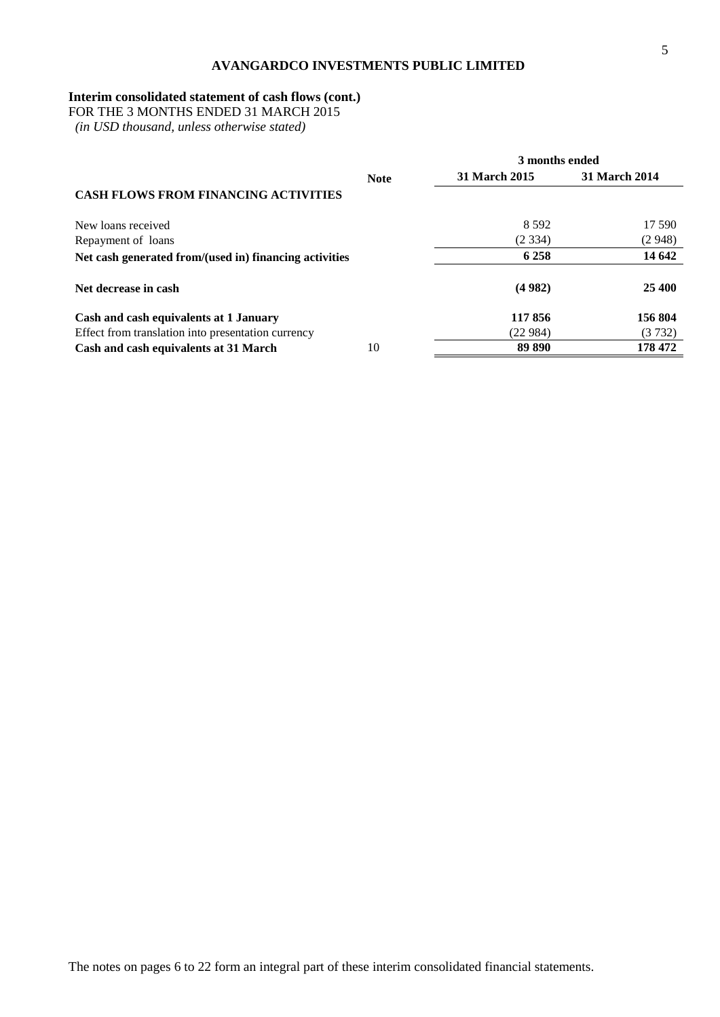# **Interim consolidated statement of cash flows (cont.)**

FOR THE 3 MONTHS ENDED 31 MARCH 2015

|                                                        |             | 3 months ended |               |  |
|--------------------------------------------------------|-------------|----------------|---------------|--|
|                                                        | <b>Note</b> | 31 March 2015  | 31 March 2014 |  |
| <b>CASH FLOWS FROM FINANCING ACTIVITIES</b>            |             |                |               |  |
| New loans received                                     |             | 8.592          | 17 590        |  |
| Repayment of loans                                     |             | (2334)         | (2948)        |  |
| Net cash generated from/(used in) financing activities |             | 6 2 5 8        | 14 642        |  |
| Net decrease in cash                                   |             | (4982)         | 25 400        |  |
| Cash and cash equivalents at 1 January                 |             | 117856         | 156 804       |  |
| Effect from translation into presentation currency     |             | (22984)        | (3732)        |  |
| Cash and cash equivalents at 31 March                  | 10          | 89 890         | 178 472       |  |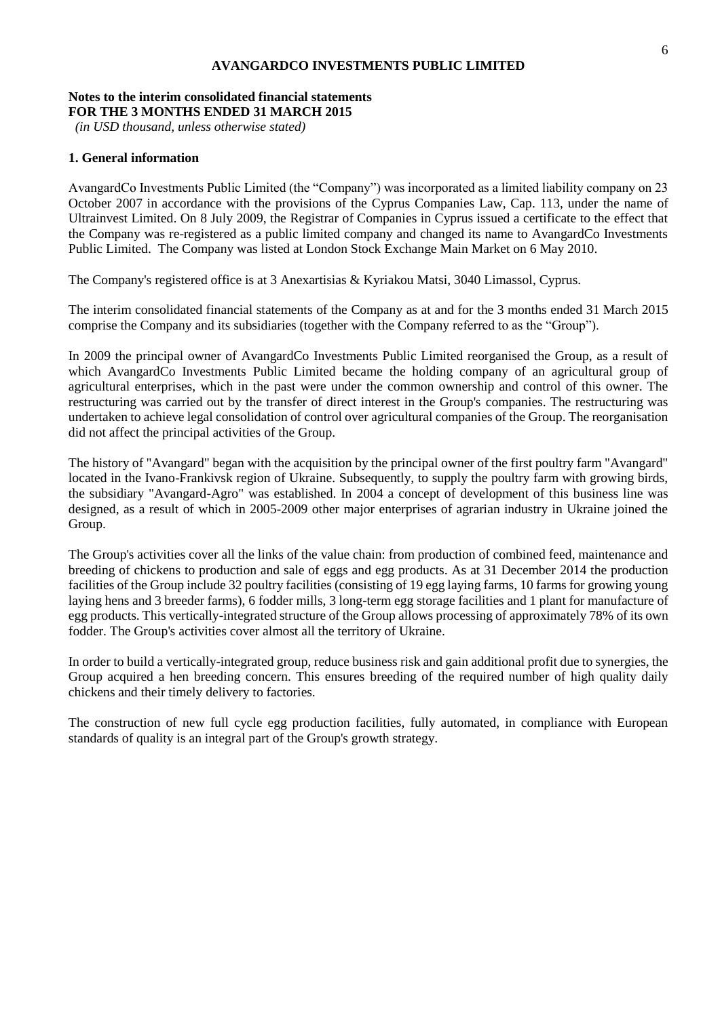#### **Notes to the interim consolidated financial statements FOR THE 3 MONTHS ENDED 31 MARCH 2015**

*(in USD thousand, unless otherwise stated)*

## **1. General information**

AvangardCo Investments Public Limited (the "Company") was incorporated as a limited liability company on 23 October 2007 in accordance with the provisions of the Cyprus Companies Law, Cap. 113, under the name of Ultrainvest Limited. On 8 July 2009, the Registrar of Companies in Cyprus issued a certificate to the effect that the Company was re-registered as a public limited company and changed its name to AvangardCo Investments Public Limited. The Company was listed at London Stock Exchange Main Market on 6 May 2010.

The Company's registered office is at 3 Anexartisias & Kyriakou Matsi, 3040 Limassol, Cyprus.

The interim consolidated financial statements of the Company as at and for the 3 months ended 31 March 2015 comprise the Company and its subsidiaries (together with the Company referred to as the "Group").

In 2009 the principal owner of AvangardCo Investments Public Limited reorganised the Group, as a result of which AvangardCo Investments Public Limited became the holding company of an agricultural group of agricultural enterprises, which in the past were under the common ownership and control of this owner. The restructuring was carried out by the transfer of direct interest in the Group's companies. The restructuring was undertaken to achieve legal consolidation of control over agricultural companies of the Group. The reorganisation did not affect the principal activities of the Group.

The history of "Avangard" began with the acquisition by the principal owner of the first poultry farm "Avangard" located in the Ivano-Frankivsk region of Ukraine. Subsequently, to supply the poultry farm with growing birds, the subsidiary "Avangard-Agro" was established. In 2004 a concept of development of this business line was designed, as a result of which in 2005-2009 other major enterprises of agrarian industry in Ukraine joined the Group.

The Group's activities cover all the links of the value chain: from production of combined feed, maintenance and breeding of chickens to production and sale of eggs and egg products. As at 31 December 2014 the production facilities of the Group include 32 poultry facilities (consisting of 19 egg laying farms, 10 farms for growing young laying hens and 3 breeder farms), 6 fodder mills, 3 long-term egg storage facilities and 1 plant for manufacture of egg products. This vertically-integrated structure of the Group allows processing of approximately 78% of its own fodder. The Group's activities cover almost all the territory of Ukraine.

In order to build a vertically-integrated group, reduce business risk and gain additional profit due to synergies, the Group acquired a hen breeding concern. This ensures breeding of the required number of high quality daily chickens and their timely delivery to factories.

The construction of new full cycle egg production facilities, fully automated, in compliance with European standards of quality is an integral part of the Group's growth strategy.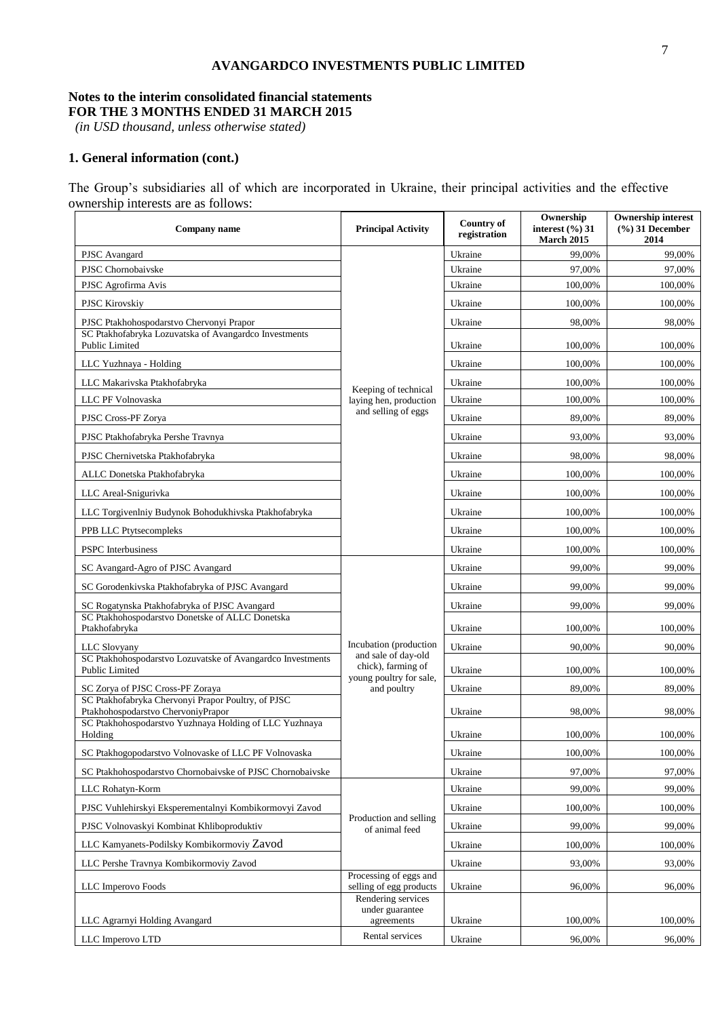## **Notes to the interim consolidated financial statements FOR THE 3 MONTHS ENDED 31 MARCH 2015**

*(in USD thousand, unless otherwise stated)*

# **1. General information (cont.)**

The Group's subsidiaries all of which are incorporated in Ukraine, their principal activities and the effective ownership interests are as follows:

| Company name                                                                                                                                       | <b>Principal Activity</b>                                            | <b>Country of</b><br>registration | Ownership<br>interest $(\%$ ) 31<br><b>March 2015</b> | <b>Ownership interest</b><br>$(%)$ 31 December<br>2014 |
|----------------------------------------------------------------------------------------------------------------------------------------------------|----------------------------------------------------------------------|-----------------------------------|-------------------------------------------------------|--------------------------------------------------------|
| PJSC Avangard                                                                                                                                      |                                                                      | Ukraine                           | 99,00%                                                | 99,00%                                                 |
| PJSC Chornobaivske                                                                                                                                 |                                                                      | Ukraine                           | 97,00%                                                | 97,00%                                                 |
| PJSC Agrofirma Avis                                                                                                                                |                                                                      | Ukraine                           | 100,00%                                               | 100,00%                                                |
| PJSC Kirovskiy                                                                                                                                     |                                                                      | Ukraine                           | 100,00%                                               | 100,00%                                                |
| PJSC Ptakhohospodarstvo Chervonyi Prapor                                                                                                           |                                                                      | Ukraine                           | 98,00%                                                | 98,00%                                                 |
| SC Ptakhofabryka Lozuvatska of Avangardco Investments<br><b>Public Limited</b>                                                                     |                                                                      | Ukraine                           | 100,00%                                               | 100,00%                                                |
| LLC Yuzhnaya - Holding                                                                                                                             |                                                                      | Ukraine                           | 100,00%                                               | 100,00%                                                |
| LLC Makarivska Ptakhofabryka                                                                                                                       | Keeping of technical                                                 | Ukraine                           | 100,00%                                               | 100,00%                                                |
| LLC PF Volnovaska                                                                                                                                  | laying hen, production                                               | Ukraine                           | 100,00%                                               | 100,00%                                                |
| PJSC Cross-PF Zorya                                                                                                                                | and selling of eggs                                                  | Ukraine                           | 89,00%                                                | 89,00%                                                 |
| PJSC Ptakhofabryka Pershe Travnya                                                                                                                  |                                                                      | Ukraine                           | 93,00%                                                | 93,00%                                                 |
| PJSC Chernivetska Ptakhofabryka                                                                                                                    |                                                                      | Ukraine                           | 98,00%                                                | 98,00%                                                 |
| ALLC Donetska Ptakhofabryka                                                                                                                        |                                                                      | Ukraine                           | 100,00%                                               | 100,00%                                                |
| LLC Areal-Snigurivka                                                                                                                               |                                                                      | Ukraine                           | 100,00%                                               | 100,00%                                                |
| LLC Torgivenlniy Budynok Bohodukhivska Ptakhofabryka                                                                                               |                                                                      | Ukraine                           | 100,00%                                               | 100,00%                                                |
| PPB LLC Ptytsecompleks                                                                                                                             |                                                                      | Ukraine                           | 100,00%                                               | 100,00%                                                |
| <b>PSPC</b> Interbusiness                                                                                                                          |                                                                      | Ukraine                           | 100,00%                                               | 100,00%                                                |
| SC Avangard-Agro of PJSC Avangard                                                                                                                  |                                                                      | Ukraine                           | 99,00%                                                | 99,00%                                                 |
| SC Gorodenkivska Ptakhofabryka of PJSC Avangard                                                                                                    |                                                                      | Ukraine                           | 99,00%                                                | 99,00%                                                 |
| SC Rogatynska Ptakhofabryka of PJSC Avangard                                                                                                       |                                                                      | Ukraine                           | 99,00%                                                | 99,00%                                                 |
| SC Ptakhohospodarstvo Donetske of ALLC Donetska<br>Ptakhofabryka                                                                                   |                                                                      | Ukraine                           | 100,00%                                               | 100,00%                                                |
| LLC Slovyany                                                                                                                                       | Incubation (production)                                              | Ukraine                           | 90,00%                                                | 90,00%                                                 |
| SC Ptakhohospodarstvo Lozuvatske of Avangardco Investments<br>Public Limited                                                                       | and sale of day-old<br>chick), farming of<br>young poultry for sale, | Ukraine                           | 100,00%                                               | 100,00%                                                |
| SC Zorya of PJSC Cross-PF Zoraya                                                                                                                   | and poultry                                                          | Ukraine                           | 89,00%                                                | 89,00%                                                 |
| SC Ptakhofabryka Chervonyi Prapor Poultry, of PJSC<br>Ptakhohospodarstvo ChervoniyPrapor<br>SC Ptakhohospodarstvo Yuzhnaya Holding of LLC Yuzhnaya |                                                                      | Ukraine                           | 98,00%                                                | 98,00%                                                 |
| Holding                                                                                                                                            |                                                                      | Ukraine                           | 100,00%                                               | 100,00%                                                |
| SC Ptakhogopodarstvo Volnovaske of LLC PF Volnovaska                                                                                               |                                                                      | Ukraine                           | 100,00%                                               | 100,00%                                                |
| SC Ptakhohospodarstvo Chornobaivske of PJSC Chornobaivske                                                                                          |                                                                      | Ukraine                           | 97,00%                                                | 97,00%                                                 |
| LLC Rohatyn-Korm                                                                                                                                   |                                                                      | Ukraine                           | 99,00%                                                | 99,00%                                                 |
| PJSC Vuhlehirskyi Eksperementalnyi Kombikormovyi Zavod                                                                                             |                                                                      | Ukraine                           | 100,00%                                               | 100,00%                                                |
| PJSC Volnovaskyi Kombinat Khliboproduktiv                                                                                                          | Production and selling<br>of animal feed                             | Ukraine                           | 99,00%                                                | 99,00%                                                 |
| LLC Kamyanets-Podilsky Kombikormoviy Zavod                                                                                                         |                                                                      | Ukraine                           | 100,00%                                               | 100,00%                                                |
| LLC Pershe Travnya Kombikormoviy Zavod                                                                                                             |                                                                      | Ukraine                           | 93,00%                                                | 93,00%                                                 |
| LLC Imperovo Foods                                                                                                                                 | Processing of eggs and<br>selling of egg products                    | Ukraine                           | 96,00%                                                | 96,00%                                                 |
|                                                                                                                                                    | Rendering services<br>under guarantee                                |                                   |                                                       |                                                        |
| LLC Agramyi Holding Avangard                                                                                                                       | agreements                                                           | Ukraine                           | 100,00%                                               | 100,00%                                                |
| LLC Imperovo LTD                                                                                                                                   | Rental services                                                      | Ukraine                           | 96,00%                                                | 96,00%                                                 |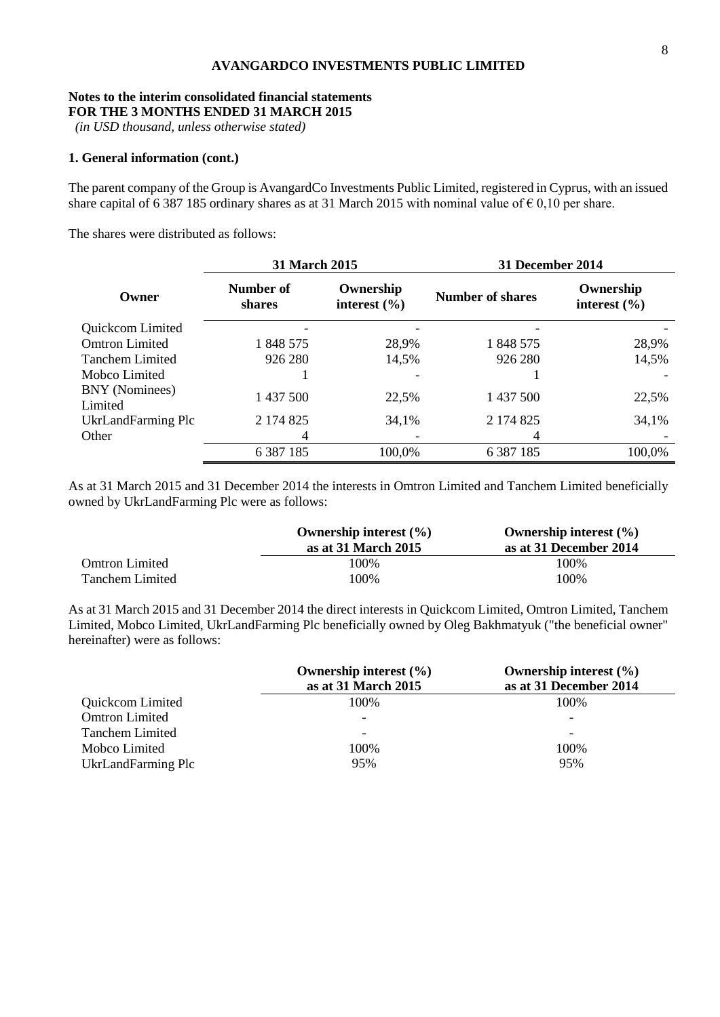# **Notes to the interim consolidated financial statements**

**FOR THE 3 MONTHS ENDED 31 MARCH 2015**

*(in USD thousand, unless otherwise stated)*

## **1. General information (cont.)**

The parent company of the Group is AvangardCo Investments Public Limited, registered in Cyprus, with an issued share capital of 6 387 185 ordinary shares as at 31 March 2015 with nominal value of  $\epsilon$  0,10 per share.

The shares were distributed as follows:

|                           | 31 March 2015       |                               | <b>31 December 2014</b> |                               |  |
|---------------------------|---------------------|-------------------------------|-------------------------|-------------------------------|--|
| Owner                     | Number of<br>shares | Ownership<br>interest $(\% )$ | <b>Number of shares</b> | Ownership<br>interest $(\% )$ |  |
| Quickcom Limited          |                     |                               |                         |                               |  |
| <b>Omtron Limited</b>     | 1 848 575           | 28,9%                         | 1 848 575               | 28,9%                         |  |
| <b>Tanchem Limited</b>    | 926 280             | 14,5%                         | 926 280                 | 14,5%                         |  |
| Mobco Limited             |                     |                               |                         |                               |  |
| BNY (Nominees)<br>Limited | 1 437 500           | 22,5%                         | 1 437 500               | 22,5%                         |  |
| UkrLandFarming Plc        | 2 174 825           | 34,1%                         | 2 174 825               | 34,1%                         |  |
| Other                     | 4                   |                               |                         |                               |  |
|                           | 6 3 8 7 1 8 5       | 100,0%                        | 6 3 8 7 1 8 5           | 100,0%                        |  |

As at 31 March 2015 and 31 December 2014 the interests in Omtron Limited and Tanchem Limited beneficially owned by UkrLandFarming Plc were as follows:

|                       | Ownership interest $(\% )$<br>as at 31 March 2015 | Ownership interest $(\% )$<br>as at 31 December 2014 |
|-----------------------|---------------------------------------------------|------------------------------------------------------|
| <b>Omtron Limited</b> | 100%                                              | 100\%                                                |
| Tanchem Limited       | 100%                                              | 100%                                                 |

As at 31 March 2015 and 31 December 2014 the direct interests in Quickcom Limited, Omtron Limited, Tanchem Limited, Mobco Limited, UkrLandFarming Plc beneficially owned by Oleg Bakhmatyuk ("the beneficial owner" hereinafter) were as follows:

|                        | Ownership interest $(\% )$<br>as at 31 March 2015 | Ownership interest $(\% )$<br>as at 31 December 2014 |
|------------------------|---------------------------------------------------|------------------------------------------------------|
| Quickcom Limited       | 100\%                                             | 100\%                                                |
| <b>Omtron Limited</b>  |                                                   | -                                                    |
| <b>Tanchem Limited</b> |                                                   | $\overline{\phantom{0}}$                             |
| Mobco Limited          | 100%                                              | 100%                                                 |
| UkrLandFarming Plc     | 95%                                               | 95%                                                  |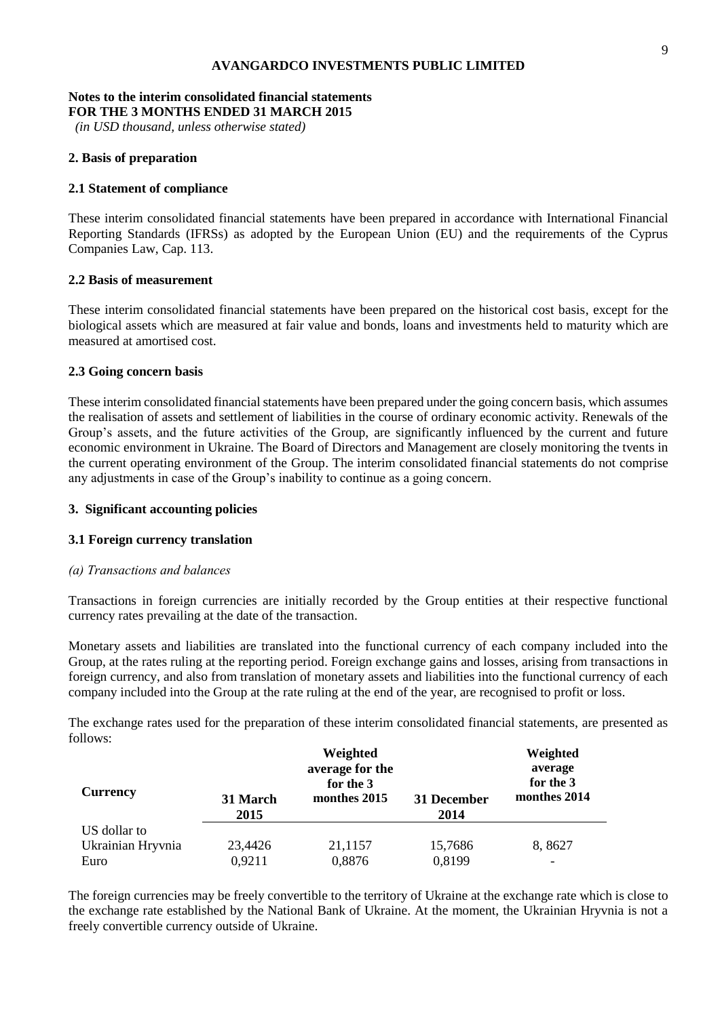### **Notes to the interim consolidated financial statements FOR THE 3 MONTHS ENDED 31 MARCH 2015**

*(in USD thousand, unless otherwise stated)*

# **2. Basis of preparation**

# **2.1 Statement of compliance**

These interim consolidated financial statements have been prepared in accordance with International Financial Reporting Standards (IFRSs) as adopted by the European Union (EU) and the requirements of the Cyprus Companies Law, Cap. 113.

# **2.2 Basis of measurement**

These interim consolidated financial statements have been prepared on the historical cost basis, except for the biological assets which are measured at fair value and bonds, loans and investments held to maturity which are measured at amortised cost.

# **2.3 Going concern basis**

These interim consolidated financial statements have been prepared under the going concern basis, which assumes the realisation of assets and settlement of liabilities in the course of ordinary economic activity. Renewals of the Group's assets, and the future activities of the Group, are significantly influenced by the current and future economic environment in Ukraine. The Board of Directors and Management are closely monitoring the tvents in the current operating environment of the Group. The interim consolidated financial statements do not comprise any adjustments in case of the Group's inability to continue as a going concern.

# **3. Significant accounting policies**

# **3.1 Foreign currency translation**

# *(а) Transactions and balances*

Transactions in foreign currencies are initially recorded by the Group entities at their respective functional currency rates prevailing at the date of the transaction.

Monetary assets and liabilities are translated into the functional currency of each company included into the Group, at the rates ruling at the reporting period. Foreign exchange gains and losses, arising from transactions in foreign currency, and also from translation of monetary assets and liabilities into the functional currency of each company included into the Group at the rate ruling at the end of the year, are recognised to profit or loss.

The exchange rates used for the preparation of these interim consolidated financial statements, are presented as follows:  $\frac{1}{2}$  weight  $\frac{1}{2}$ 

| <b>Currency</b>   | 31 March<br>2015 | Weighted<br>average for the<br>for the 3<br>monthes 2015 | 31 December<br>2014 | Weighted<br>average<br>for the 3<br>monthes 2014 |
|-------------------|------------------|----------------------------------------------------------|---------------------|--------------------------------------------------|
| US dollar to      |                  |                                                          |                     |                                                  |
| Ukrainian Hryvnia | 23,4426          | 21,1157                                                  | 15,7686             | 8,8627                                           |
| Euro              | 0,9211           | 0,8876                                                   | 0,8199              |                                                  |

The foreign currencies may be freely convertible to the territory of Ukraine at the exchange rate which is close to the exchange rate established by the National Bank of Ukraine. At the moment, the Ukrainian Hryvnia is not a freely convertible currency outside of Ukraine.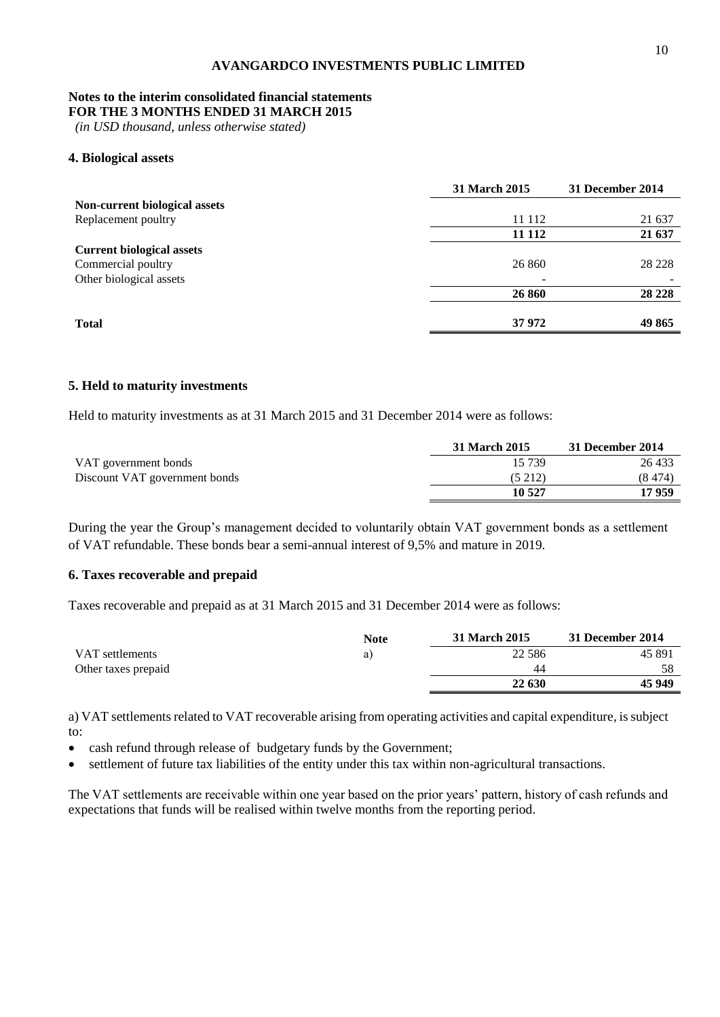# **Notes to the interim consolidated financial statements**

**FOR THE 3 MONTHS ENDED 31 MARCH 2015**

*(in USD thousand, unless otherwise stated)*

## **4. Biological assets**

|                                  | <b>31 March 2015</b> | 31 December 2014 |
|----------------------------------|----------------------|------------------|
| Non-current biological assets    |                      |                  |
| Replacement poultry              | 11 112               | 21 637           |
|                                  | 11 112               | 21 637           |
| <b>Current biological assets</b> |                      |                  |
| Commercial poultry               | 26 860               | 28 228           |
| Other biological assets          |                      |                  |
|                                  | 26 860               | 28 2 28          |
|                                  |                      |                  |
| <b>Total</b>                     | 37 972               | 49 865           |

#### **5. Held to maturity investments**

Held to maturity investments as at 31 March 2015 and 31 December 2014 were as follows:

|                               | 31 March 2015 | 31 December 2014 |
|-------------------------------|---------------|------------------|
| VAT government bonds          | 15 739        | 26 433           |
| Discount VAT government bonds | (5 212)       | (8, 474)         |
|                               | 10 527        | 17 959           |

During the year the Group's management decided to voluntarily obtain VAT government bonds as a settlement of VAT refundable. These bonds bear a semi-annual interest of 9,5% and mature in 2019.

# **6. Taxes recoverable and prepaid**

Taxes recoverable and prepaid as at 31 March 2015 and 31 December 2014 were as follows:

|                     | <b>Note</b> | <b>31 March 2015</b> | 31 December 2014 |
|---------------------|-------------|----------------------|------------------|
| VAT settlements     | a)          | 22 5 8 6             | 45 891           |
| Other taxes prepaid |             | 44                   | 58               |
|                     |             | 22 630               | 45 949           |

a) VAT settlements related to VAT recoverable arising from operating activities and capital expenditure, is subject to:

cash refund through release of budgetary funds by the Government;

settlement of future tax liabilities of the entity under this tax within non-agricultural transactions.

The VAT settlements are receivable within one year based on the prior years' pattern, history of cash refunds and expectations that funds will be realised within twelve months from the reporting period.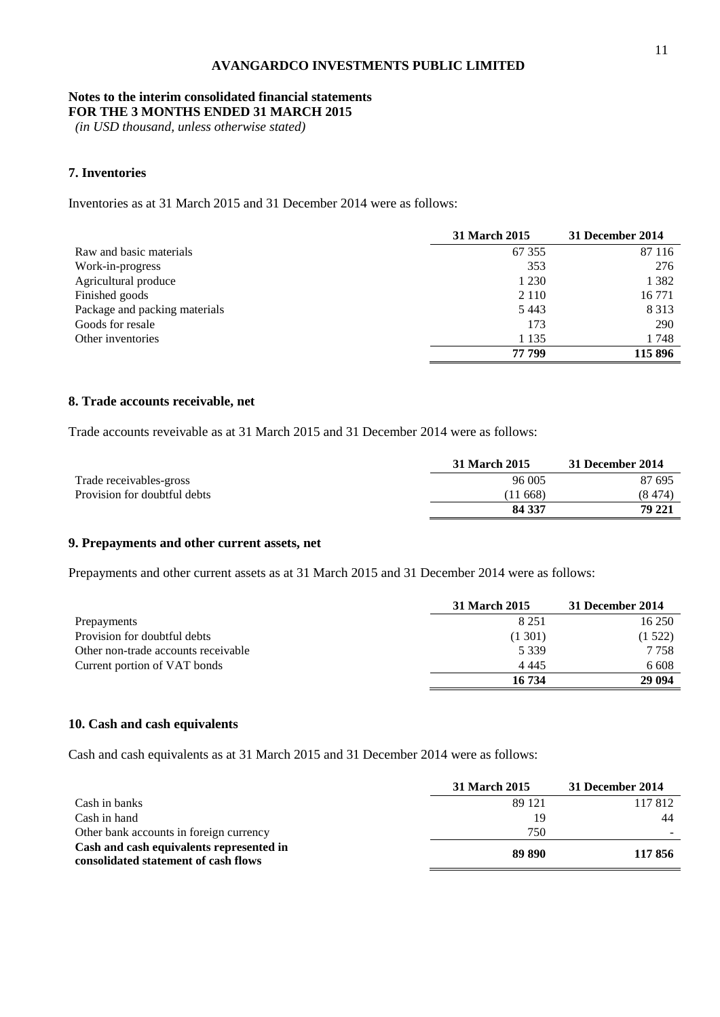# **Notes to the interim consolidated financial statements**

**FOR THE 3 MONTHS ENDED 31 MARCH 2015**

*(in USD thousand, unless otherwise stated)*

# **7. Inventories**

Inventories as at 31 March 2015 and 31 December 2014 were as follows:

|                               | 31 March 2015 | 31 December 2014 |
|-------------------------------|---------------|------------------|
| Raw and basic materials       | 67 355        | 87 116           |
| Work-in-progress              | 353           | 276              |
| Agricultural produce          | 1 2 3 0       | 1 3 8 2          |
| Finished goods                | 2 1 1 0       | 16 771           |
| Package and packing materials | 5443          | 8 3 1 3          |
| Goods for resale              | 173           | 290              |
| Other inventories             | 1 1 3 5       | 1748             |
|                               | 77 799        | 115 896          |

## **8. Trade accounts receivable, net**

Trade accounts reveivable as at 31 March 2015 and 31 December 2014 were as follows:

|                              | 31 March 2015 | 31 December 2014 |
|------------------------------|---------------|------------------|
| Trade receivables-gross      | 96 005        | 87 695           |
| Provision for doubtful debts | (11668)       | (8 474)          |
|                              | 84 337        | 79 221           |

# **9. Prepayments and other current assets, net**

Prepayments and other current assets as at 31 March 2015 and 31 December 2014 were as follows:

|                                     | 31 March 2015 | 31 December 2014 |
|-------------------------------------|---------------|------------------|
| Prepayments                         | 8 2 5 1       | 16 250           |
| Provision for doubtful debts        | (1301)        | (1522)           |
| Other non-trade accounts receivable | 5 3 3 9       | 7 7 5 8          |
| Current portion of VAT bonds        | 4 4 4 5       | 6 6 0 8          |
|                                     | 16 734        | 29 094           |

## **10. Cash and cash equivalents**

Cash and cash equivalents as at 31 March 2015 and 31 December 2014 were as follows:

|                                                                                  | 31 March 2015 | 31 December 2014 |
|----------------------------------------------------------------------------------|---------------|------------------|
| Cash in banks                                                                    | 89 121        | 117812           |
| Cash in hand                                                                     | 19            | 44               |
| Other bank accounts in foreign currency                                          | 750           |                  |
| Cash and cash equivalents represented in<br>consolidated statement of cash flows | 89 890        | 117856           |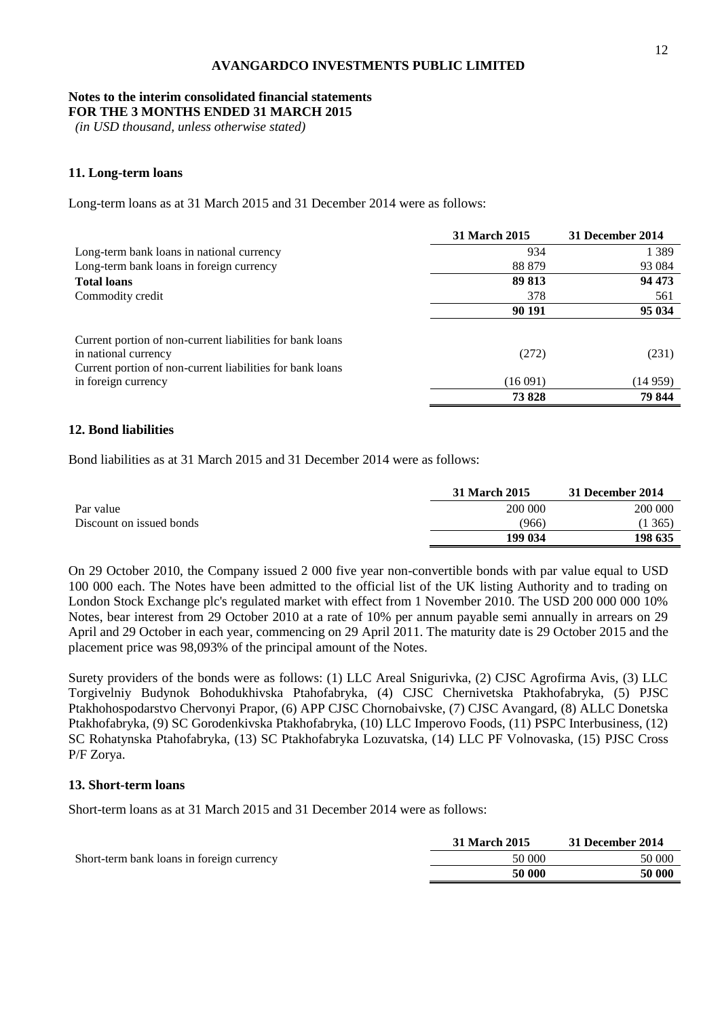# **Notes to the interim consolidated financial statements**

**FOR THE 3 MONTHS ENDED 31 MARCH 2015**

*(in USD thousand, unless otherwise stated)*

## **11. Long-term loans**

Long-term loans as at 31 March 2015 and 31 December 2014 were as follows:

|                                                                                   | 31 March 2015 | 31 December 2014 |
|-----------------------------------------------------------------------------------|---------------|------------------|
| Long-term bank loans in national currency                                         | 934           | 1 3 8 9          |
| Long-term bank loans in foreign currency                                          | 88 879        | 93 0 84          |
| <b>Total loans</b>                                                                | 89 813        | 94 473           |
| Commodity credit                                                                  | 378           | 561              |
|                                                                                   | 90 191        | 95 034           |
| Current portion of non-current liabilities for bank loans<br>in national currency | (272)         | (231)            |
| Current portion of non-current liabilities for bank loans                         |               |                  |
| in foreign currency                                                               | (16091)       | (14 959)         |
|                                                                                   | 73828         | 79 844           |

# **12. Bond liabilities**

Bond liabilities as at 31 March 2015 and 31 December 2014 were as follows:

|                          | 31 March 2015 | 31 December 2014 |
|--------------------------|---------------|------------------|
| Par value                | 200 000       | 200 000          |
| Discount on issued bonds | (966)         | 1365             |
|                          | 199 034       | 198 635          |

On 29 October 2010, the Company issued 2 000 five year non-convertible bonds with par value equal to USD 100 000 each. The Notes have been admitted to the official list of the UK listing Authority and to trading on London Stock Exchange plc's regulated market with effect from 1 November 2010. The USD 200 000 000 10% Notes, bear interest from 29 October 2010 at a rate of 10% per annum payable semi annually in arrears on 29 April and 29 October in each year, commencing on 29 April 2011. The maturity date is 29 October 2015 and the placement price was 98,093% of the principal amount of the Notes.

Surety providers of the bonds were as follows: (1) LLC Areal Snigurivka, (2) CJSC Agrofirma Avis, (3) LLC Torgivelniy Budynok Bohodukhivska Ptahofabryka, (4) CJSC Chernivetska Ptakhofabryka, (5) PJSC Ptakhohospodarstvo Chervonyi Prapor, (6) APP CJSC Chornobaivske, (7) CJSC Avangard, (8) ALLC Donetska Ptakhofabryka, (9) SC Gorodenkivska Ptakhofabryka, (10) LLC Imperovo Foods, (11) PSPC Interbusiness, (12) SC Rohatynska Ptahofabryka, (13) SC Ptakhofabryka Lozuvatska, (14) LLC PF Volnovaska, (15) PJSC Cross P/F Zorya.

### **13. Short-term loans**

Short-term loans as at 31 March 2015 and 31 December 2014 were as follows:

|                                           | 31 March 2015 | 31 December 2014 |
|-------------------------------------------|---------------|------------------|
| Short-term bank loans in foreign currency | 50 000        | 50 000           |
|                                           | 50 000        | 50 000           |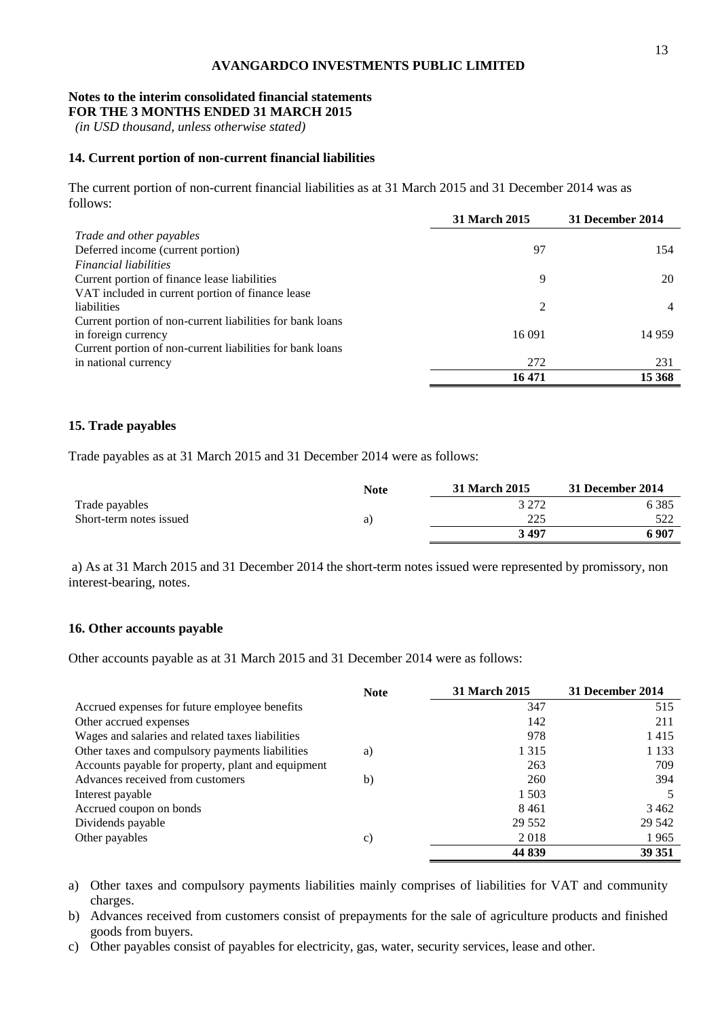#### **Notes to the interim consolidated financial statements FOR THE 3 MONTHS ENDED 31 MARCH 2015**

*(in USD thousand, unless otherwise stated)*

# **14. Current portion of non-current financial liabilities**

The current portion of non-current financial liabilities as at 31 March 2015 and 31 December 2014 was as follows:

|                                                           | <b>31 March 2015</b> | 31 December 2014 |
|-----------------------------------------------------------|----------------------|------------------|
| Trade and other payables                                  |                      |                  |
| Deferred income (current portion)                         | 97                   | 154              |
| <i>Financial liabilities</i>                              |                      |                  |
| Current portion of finance lease liabilities              | 9                    | 20               |
| VAT included in current portion of finance lease          |                      |                  |
| liabilities                                               | 2                    | 4                |
| Current portion of non-current liabilities for bank loans |                      |                  |
| in foreign currency                                       | 16 091               | 14 9 59          |
| Current portion of non-current liabilities for bank loans |                      |                  |
| in national currency                                      | 272                  | 231              |
|                                                           | 16 471               | 15 368           |

# **15. Trade payables**

Trade payables as at 31 March 2015 and 31 December 2014 were as follows:

|                         | <b>Note</b> | 31 March 2015 | 31 December 2014 |
|-------------------------|-------------|---------------|------------------|
| Trade payables          |             | 3 272         | 6 385            |
| Short-term notes issued | a)          | 225           | 522              |
|                         |             | 3 497         | 6907             |

a) As at 31 March 2015 and 31 December 2014 the short-term notes issued were represented by promissory, non interest-bearing, notes.

# **16. Other accounts payable**

Other accounts payable as at 31 March 2015 and 31 December 2014 were as follows:

|                                                    | <b>Note</b> | <b>31 March 2015</b> | 31 December 2014 |
|----------------------------------------------------|-------------|----------------------|------------------|
| Accrued expenses for future employee benefits      |             | 347                  | 515              |
| Other accrued expenses                             |             | 142                  | 211              |
| Wages and salaries and related taxes liabilities   |             | 978                  | 1415             |
| Other taxes and compulsory payments liabilities    | a)          | 1 3 1 5              | 1 1 3 3          |
| Accounts payable for property, plant and equipment |             | 263                  | 709              |
| Advances received from customers                   | b)          | 260                  | 394              |
| Interest payable                                   |             | 1 503                |                  |
| Accrued coupon on bonds                            |             | 8461                 | 3462             |
| Dividends payable                                  |             | 29 5 5 2             | 29 542           |
| Other payables                                     | c)          | 2018                 | 1965             |
|                                                    |             | 44 839               | 39 351           |

- a) Other taxes and compulsory payments liabilities mainly comprises of liabilities for VAT and community charges.
- b) Advances received from customers consist of prepayments for the sale of agriculture products and finished goods from buyers.
- c) Other payables consist of payables for electricity, gas, water, security services, lease and other.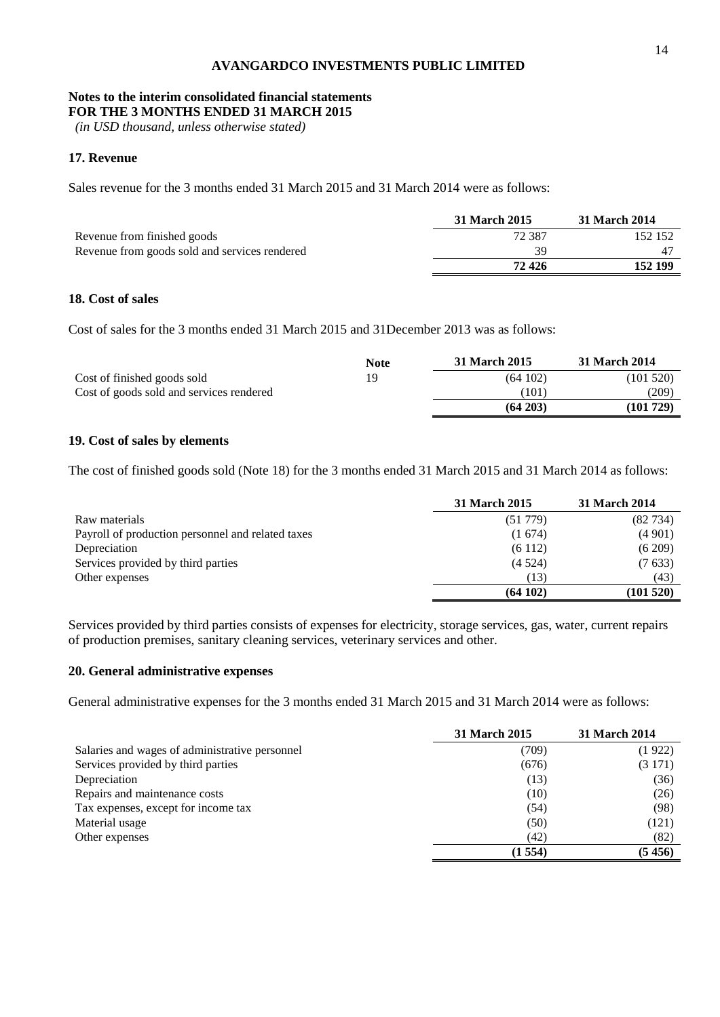# **Notes to the interim consolidated financial statements**

**FOR THE 3 MONTHS ENDED 31 MARCH 2015**

*(in USD thousand, unless otherwise stated)*

# **17. Revenue**

Sales revenue for the 3 months ended 31 March 2015 and 31 March 2014 were as follows:

|                                               | 31 March 2015 | 31 March 2014 |
|-----------------------------------------------|---------------|---------------|
| Revenue from finished goods                   | 72387         | 152 152       |
| Revenue from goods sold and services rendered | 39            |               |
|                                               | 72 426        | 152 199       |

# **18. Cost of sales**

Cost of sales for the 3 months ended 31 March 2015 and 31December 2013 was as follows:

|                                          | <b>Note</b> | 31 March 2015 | 31 March 2014 |
|------------------------------------------|-------------|---------------|---------------|
| Cost of finished goods sold              |             | (64102)       | (101520)      |
| Cost of goods sold and services rendered |             | (101)         | (209)         |
|                                          |             | (64203)       | (101 729)     |

# **19. Cost of sales by elements**

The cost of finished goods sold (Note 18) for the 3 months ended 31 March 2015 and 31 March 2014 as follows:

|                                                   | 31 March 2015 | 31 March 2014 |
|---------------------------------------------------|---------------|---------------|
| Raw materials                                     | (51779)       | (82734)       |
| Payroll of production personnel and related taxes | (1674)        | (4901)        |
| Depreciation                                      | (6112)        | (6209)        |
| Services provided by third parties                | (4524)        | (7633)        |
| Other expenses                                    | (13)          | (43)          |
|                                                   | (64102)       | (101520)      |

Services provided by third parties consists of expenses for electricity, storage services, gas, water, current repairs of production premises, sanitary cleaning services, veterinary services and other.

## **20. General administrative expenses**

General administrative expenses for the 3 months ended 31 March 2015 and 31 March 2014 were as follows:

|                                                | 31 March 2015 | <b>31 March 2014</b> |
|------------------------------------------------|---------------|----------------------|
| Salaries and wages of administrative personnel | (709)         | (1922)               |
| Services provided by third parties             | (676)         | (3171)               |
| Depreciation                                   | (13)          | (36)                 |
| Repairs and maintenance costs                  | (10)          | (26)                 |
| Tax expenses, except for income tax            | (54)          | (98)                 |
| Material usage                                 | (50)          | (121)                |
| Other expenses                                 | (42)          | (82)                 |
|                                                | (1554)        | (5456)               |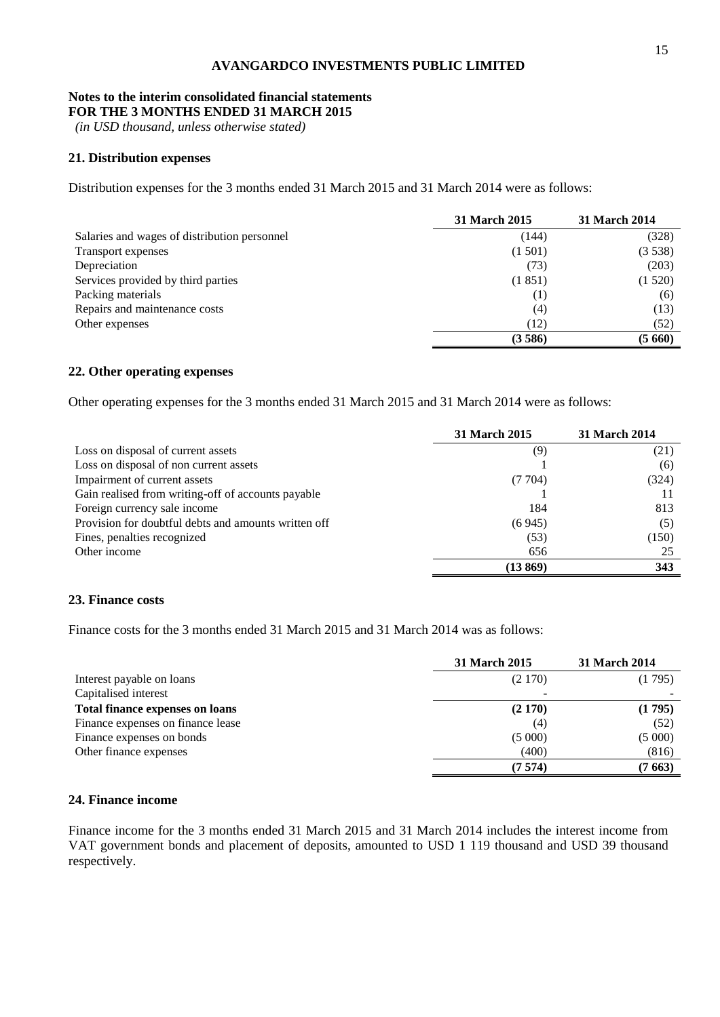# **Notes to the interim consolidated financial statements**

**FOR THE 3 MONTHS ENDED 31 MARCH 2015**

*(in USD thousand, unless otherwise stated)*

# **21. Distribution expenses**

Distribution expenses for the 3 months ended 31 March 2015 and 31 March 2014 were as follows:

|                                              | <b>31 March 2015</b> | <b>31 March 2014</b> |
|----------------------------------------------|----------------------|----------------------|
| Salaries and wages of distribution personnel | (144)                | (328)                |
| Transport expenses                           | (1501)               | (3538)               |
| Depreciation                                 | (73)                 | (203)                |
| Services provided by third parties           | (1851)               | (1520)               |
| Packing materials                            | (1)                  | (6)                  |
| Repairs and maintenance costs                | (4)                  | (13)                 |
| Other expenses                               | (12)                 | (52)                 |
|                                              | (3586)               | (5660)               |

# **22. Other operating expenses**

Other operating expenses for the 3 months ended 31 March 2015 and 31 March 2014 were as follows:

|                                                      | <b>31 March 2015</b> | <b>31 March 2014</b> |
|------------------------------------------------------|----------------------|----------------------|
| Loss on disposal of current assets                   | (9)                  | (21)                 |
| Loss on disposal of non current assets               |                      | (6)                  |
| Impairment of current assets                         | (7704)               | (324)                |
| Gain realised from writing-off of accounts payable   |                      |                      |
| Foreign currency sale income                         | 184                  | 813                  |
| Provision for doubtful debts and amounts written off | (6945)               | (5)                  |
| Fines, penalties recognized                          | (53)                 | (150)                |
| Other income                                         | 656                  | 25                   |
|                                                      | (13869)              | 343                  |

## **23. Finance costs**

Finance costs for the 3 months ended 31 March 2015 and 31 March 2014 was as follows:

|                                        | 31 March 2015 | 31 March 2014 |
|----------------------------------------|---------------|---------------|
| Interest payable on loans              | (2170)        | (1795)        |
| Capitalised interest                   |               |               |
| <b>Total finance expenses on loans</b> | (2170)        | (1795)        |
| Finance expenses on finance lease      | (4)           | (52)          |
| Finance expenses on bonds              | (5000)        | (5000)        |
| Other finance expenses                 | (400)         | (816)         |
|                                        | (7574)        | (7663)        |

# **24. Finance income**

Finance income for the 3 months ended 31 March 2015 and 31 March 2014 includes the interest income from VAT government bonds and placement of deposits, amounted to USD 1 119 thousand and USD 39 thousand respectively.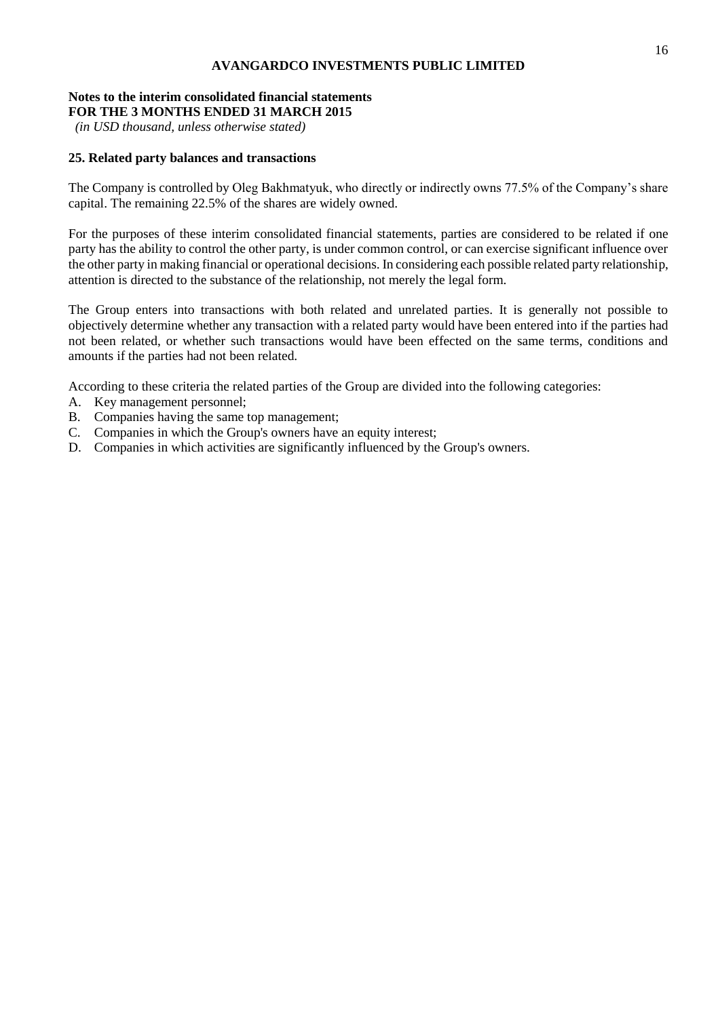# **Notes to the interim consolidated financial statements**

**FOR THE 3 MONTHS ENDED 31 MARCH 2015**

*(in USD thousand, unless otherwise stated)*

# **25. Related party balances and transactions**

The Company is controlled by Oleg Bakhmatyuk, who directly or indirectly owns 77.5% of the Company's share capital. The remaining 22.5% of the shares are widely owned.

For the purposes of these interim consolidated financial statements, parties are considered to be related if one party has the ability to control the other party, is under common control, or can exercise significant influence over the other party in making financial or operational decisions. In considering each possible related party relationship, attention is directed to the substance of the relationship, not merely the legal form.

The Group enters into transactions with both related and unrelated parties. It is generally not possible to objectively determine whether any transaction with a related party would have been entered into if the parties had not been related, or whether such transactions would have been effected on the same terms, conditions and amounts if the parties had not been related.

According to these criteria the related parties of the Group are divided into the following categories:

- A. Key management personnel;
- B. Companies having the same top management;
- C. Companies in which the Group's owners have an equity interest;
- D. Companies in which activities are significantly influenced by the Group's owners.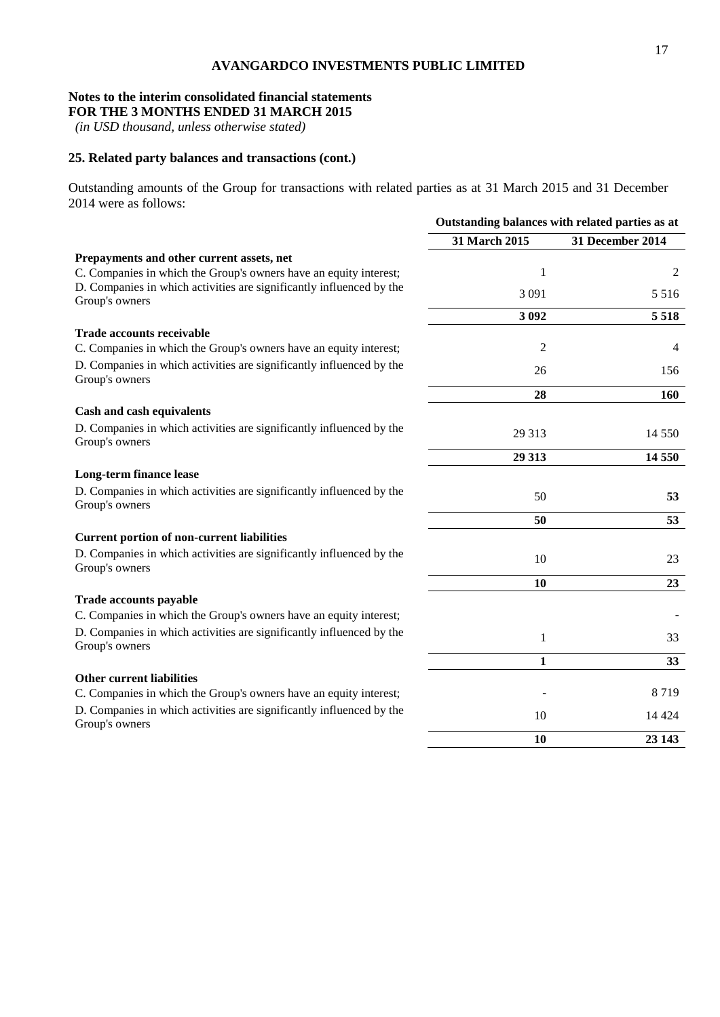# **Notes to the interim consolidated financial statements**

**FOR THE 3 MONTHS ENDED 31 MARCH 2015**

*(in USD thousand, unless otherwise stated)*

# **25. Related party balances and transactions (cont.)**

Outstanding amounts of the Group for transactions with related parties as at 31 March 2015 and 31 December 2014 were as follows:

|                                                                                        | Outstanding balances with related parties as at |                  |  |
|----------------------------------------------------------------------------------------|-------------------------------------------------|------------------|--|
|                                                                                        | 31 March 2015                                   | 31 December 2014 |  |
| Prepayments and other current assets, net                                              |                                                 |                  |  |
| C. Companies in which the Group's owners have an equity interest;                      | 1                                               | 2                |  |
| D. Companies in which activities are significantly influenced by the<br>Group's owners | 3 0 9 1                                         | 5 5 1 6          |  |
|                                                                                        | 3 0 9 2                                         | 5 5 1 8          |  |
| <b>Trade accounts receivable</b>                                                       |                                                 |                  |  |
| C. Companies in which the Group's owners have an equity interest;                      | $\overline{c}$                                  | 4                |  |
| D. Companies in which activities are significantly influenced by the<br>Group's owners | 26                                              | 156              |  |
|                                                                                        | 28                                              | <b>160</b>       |  |
| Cash and cash equivalents                                                              |                                                 |                  |  |
| D. Companies in which activities are significantly influenced by the<br>Group's owners | 29 3 13                                         | 14 5 5 0         |  |
|                                                                                        | 29 313                                          | 14 550           |  |
| Long-term finance lease                                                                |                                                 |                  |  |
| D. Companies in which activities are significantly influenced by the<br>Group's owners | 50                                              | 53               |  |
|                                                                                        | 50                                              | 53               |  |
| <b>Current portion of non-current liabilities</b>                                      |                                                 |                  |  |
| D. Companies in which activities are significantly influenced by the<br>Group's owners | 10                                              | 23               |  |
|                                                                                        | 10                                              | 23               |  |
| Trade accounts payable                                                                 |                                                 |                  |  |
| C. Companies in which the Group's owners have an equity interest;                      |                                                 |                  |  |
| D. Companies in which activities are significantly influenced by the<br>Group's owners | 1                                               | 33               |  |
|                                                                                        | 1                                               | 33               |  |
| <b>Other current liabilities</b>                                                       |                                                 |                  |  |
| C. Companies in which the Group's owners have an equity interest;                      |                                                 | 8719             |  |
| D. Companies in which activities are significantly influenced by the<br>Group's owners | 10                                              | 14 4 24          |  |
|                                                                                        | 10                                              | 23 143           |  |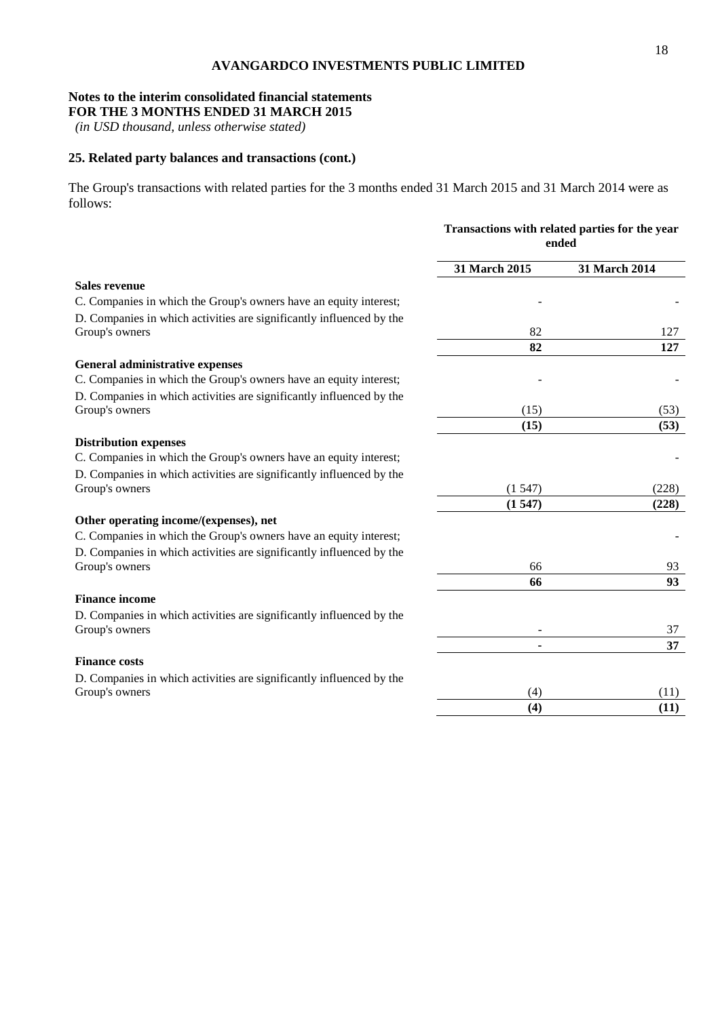# **Notes to the interim consolidated financial statements**

**FOR THE 3 MONTHS ENDED 31 MARCH 2015**

*(in USD thousand, unless otherwise stated)*

# **25. Related party balances and transactions (cont.)**

The Group's transactions with related parties for the 3 months ended 31 March 2015 and 31 March 2014 were as follows:

|                                                                                        | Transactions with related parties for the year<br>ended |               |  |
|----------------------------------------------------------------------------------------|---------------------------------------------------------|---------------|--|
|                                                                                        | 31 March 2015                                           | 31 March 2014 |  |
| <b>Sales revenue</b>                                                                   |                                                         |               |  |
| C. Companies in which the Group's owners have an equity interest;                      |                                                         |               |  |
| D. Companies in which activities are significantly influenced by the                   |                                                         |               |  |
| Group's owners                                                                         | 82                                                      | 127           |  |
|                                                                                        | 82                                                      | 127           |  |
| General administrative expenses                                                        |                                                         |               |  |
| C. Companies in which the Group's owners have an equity interest;                      |                                                         |               |  |
| D. Companies in which activities are significantly influenced by the                   |                                                         |               |  |
| Group's owners                                                                         | (15)                                                    | (53)          |  |
|                                                                                        | (15)                                                    | (53)          |  |
| <b>Distribution expenses</b>                                                           |                                                         |               |  |
| C. Companies in which the Group's owners have an equity interest;                      |                                                         |               |  |
| D. Companies in which activities are significantly influenced by the                   |                                                         |               |  |
| Group's owners                                                                         | (1547)                                                  | (228)         |  |
|                                                                                        | (1547)                                                  | (228)         |  |
| Other operating income/(expenses), net                                                 |                                                         |               |  |
| C. Companies in which the Group's owners have an equity interest;                      |                                                         |               |  |
| D. Companies in which activities are significantly influenced by the<br>Group's owners | 66                                                      | 93            |  |
|                                                                                        | 66                                                      | 93            |  |
| <b>Finance income</b>                                                                  |                                                         |               |  |
| D. Companies in which activities are significantly influenced by the                   |                                                         |               |  |
| Group's owners                                                                         |                                                         | 37            |  |
|                                                                                        | $\blacksquare$                                          | 37            |  |
| <b>Finance costs</b>                                                                   |                                                         |               |  |
| D. Companies in which activities are significantly influenced by the                   |                                                         |               |  |
| Group's owners                                                                         | (4)                                                     | (11)          |  |
|                                                                                        | (4)                                                     | (11)          |  |
|                                                                                        |                                                         |               |  |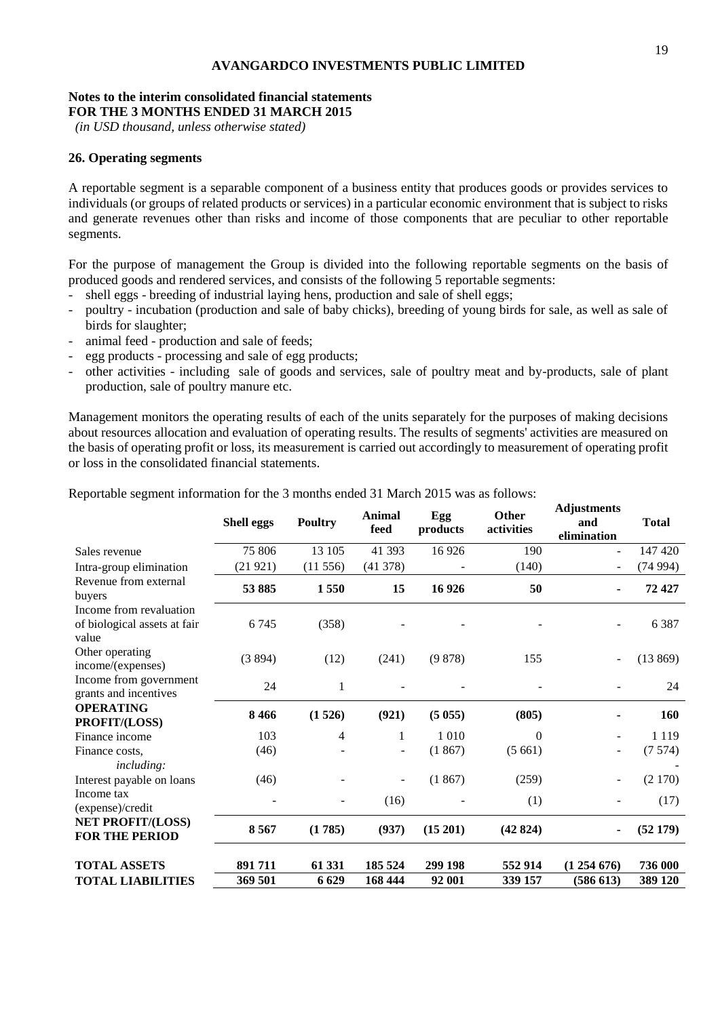#### **Notes to the interim consolidated financial statements FOR THE 3 MONTHS ENDED 31 MARCH 2015**

*(in USD thousand, unless otherwise stated)*

## **26. Operating segments**

A reportable segment is a separable component of a business entity that produces goods or provides services to individuals (or groups of related products or services) in a particular economic environment that is subject to risks and generate revenues other than risks and income of those components that are peculiar to other reportable segments.

For the purpose of management the Group is divided into the following reportable segments on the basis of produced goods and rendered services, and consists of the following 5 reportable segments:

- shell eggs breeding of industrial laying hens, production and sale of shell eggs;
- poultry incubation (production and sale of baby chicks), breeding of young birds for sale, as well as sale of birds for slaughter;
- animal feed production and sale of feeds;
- egg products processing and sale of egg products;
- other activities including sale of goods and services, sale of poultry meat and by-products, sale of plant production, sale of poultry manure etc.

Management monitors the operating results of each of the units separately for the purposes of making decisions about resources allocation and evaluation of operating results. The results of segments' activities are measured on the basis of operating profit or loss, its measurement is carried out accordingly to measurement of operating profit or loss in the consolidated financial statements.

|                                                                  | <b>Shell eggs</b> | <b>Poultry</b> | Animal<br>feed    | Egg<br>products | Other<br>activities | Aujustments<br>and<br>elimination | <b>Total</b> |
|------------------------------------------------------------------|-------------------|----------------|-------------------|-----------------|---------------------|-----------------------------------|--------------|
| Sales revenue                                                    | 75 806            | 13 105         | 41 393            | 16 9 26         | 190                 | $\blacksquare$                    | 147 420      |
| Intra-group elimination                                          | (21921)           | (11556)        | (41378)           |                 | (140)               | $\overline{\phantom{a}}$          | (74994)      |
| Revenue from external<br>buyers                                  | 53 885            | 1550           | 15                | 16 9 26         | 50                  | ٠                                 | 72427        |
| Income from revaluation<br>of biological assets at fair<br>value | 6745              | (358)          |                   |                 |                     | $\blacksquare$                    | 6387         |
| Other operating<br>income/(expenses)                             | (3894)            | (12)           | (241)             | (9878)          | 155                 | $\qquad \qquad \blacksquare$      | (13869)      |
| Income from government<br>grants and incentives                  | 24                | 1              |                   |                 |                     |                                   | 24           |
| <b>OPERATING</b><br>PROFIT/(LOSS)                                | 8466              | (1526)         | (921)             | (5055)          | (805)               | ۰                                 | 160          |
| Finance income                                                   | 103               | 4              | $\mathbf 1$       | 1 0 1 0         | $\Omega$            |                                   | 1 1 1 9      |
| Finance costs.<br><i>including:</i>                              | (46)              |                | $\qquad \qquad -$ | (1867)          | (5661)              |                                   | (7574)       |
| Interest payable on loans                                        | (46)              |                | $\qquad \qquad -$ | (1867)          | (259)               | ۰                                 | (2170)       |
| Income tax<br>(expense)/credit                                   |                   |                | (16)              |                 | (1)                 |                                   | (17)         |
| <b>NET PROFIT/(LOSS)</b><br><b>FOR THE PERIOD</b>                | 8567              | (1785)         | (937)             | (15 201)        | (42824)             | $\blacksquare$                    | (52179)      |
| <b>TOTAL ASSETS</b>                                              | 891711            | 61 331         | 185 524           | 299 198         | 552 914             | (1254676)                         | 736 000      |
| <b>TOTAL LIABILITIES</b>                                         | 369 501           | 6629           | 168 444           | 92 001          | 339 157             | (586613)                          | 389 120      |

Reportable segment information for the 3 months ended 31 March 2015 was as follows:

**Adjustments**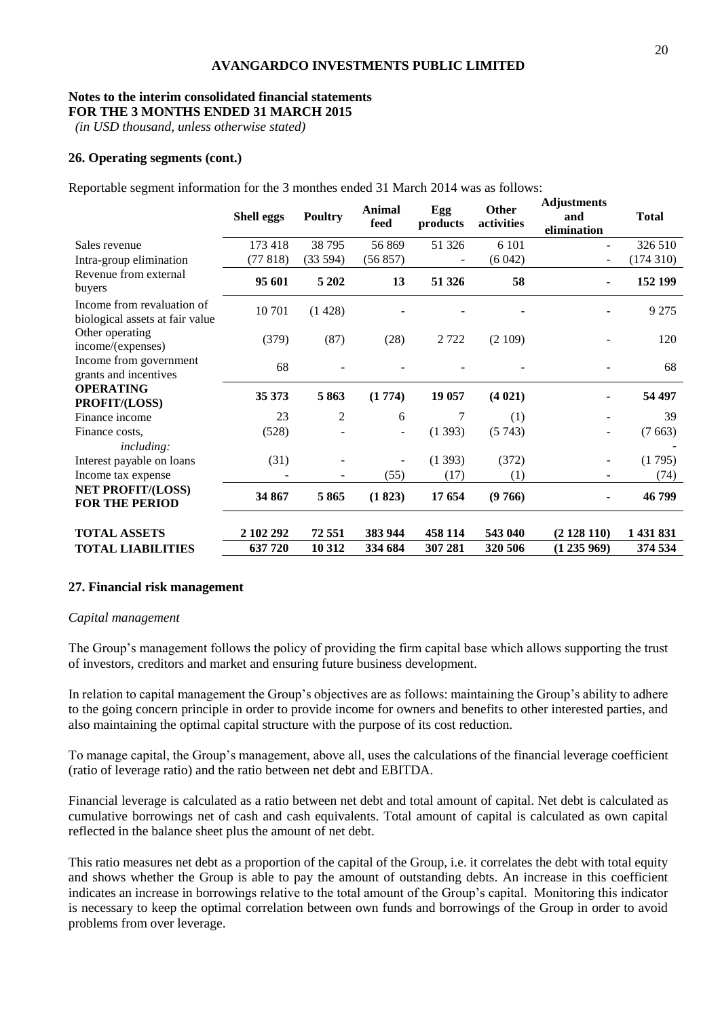# **Notes to the interim consolidated financial statements**

**FOR THE 3 MONTHS ENDED 31 MARCH 2015**

*(in USD thousand, unless otherwise stated)*

## **26. Operating segments (cont.)**

Reportable segment information for the 3 monthes ended 31 March 2014 was as follows:

|                                                               | <b>Shell eggs</b> | <b>Poultry</b> | Animal<br>feed | Egg<br>products | Other<br>activities | <b>Adjustments</b><br>and<br>elimination | <b>Total</b> |
|---------------------------------------------------------------|-------------------|----------------|----------------|-----------------|---------------------|------------------------------------------|--------------|
| Sales revenue                                                 | 173 418           | 38 7 95        | 56 869         | 51 326          | 6 1 0 1             |                                          | 326 510      |
| Intra-group elimination                                       | (77818)           | (33594)        | (56 857)       |                 | (6042)              |                                          | (174310)     |
| Revenue from external<br>buyers                               | 95 601            | 5 2 0 2        | 13             | 51 326          | 58                  | ٠                                        | 152 199      |
| Income from revaluation of<br>biological assets at fair value | 10 701            | (1428)         |                |                 |                     |                                          | 9 2 7 5      |
| Other operating<br>income/(expenses)                          | (379)             | (87)           | (28)           | 2 7 2 2         | (2109)              |                                          | 120          |
| Income from government<br>grants and incentives               | 68                |                |                |                 |                     |                                          | 68           |
| <b>OPERATING</b><br>PROFIT/(LOSS)                             | 35 373            | 5863           | (1774)         | 19 057          | (4021)              |                                          | 54 497       |
| Finance income                                                | 23                | $\overline{2}$ | 6              | 7               | (1)                 |                                          | 39           |
| Finance costs.<br><i>including:</i>                           | (528)             |                | ۰              | (1393)          | (5743)              |                                          | (7663)       |
| Interest payable on loans                                     | (31)              |                | ۰              | (1393)          | (372)               |                                          | (1795)       |
| Income tax expense                                            |                   |                | (55)           | (17)            | (1)                 |                                          | (74)         |
| <b>NET PROFIT/(LOSS)</b><br><b>FOR THE PERIOD</b>             | 34 867            | 5865           | (1823)         | 17 654          | (9766)              |                                          | 46 799       |
| <b>TOTAL ASSETS</b>                                           | 2 102 292         | 72 551         | 383 944        | 458 114         | 543 040             | (2128110)                                | 1 431 831    |
| <b>TOTAL LIABILITIES</b>                                      | 637720            | 10 312         | 334 684        | 307 281         | 320 506             | (1235969)                                | 374 534      |

### **27. Financial risk management**

### *Capital management*

The Group's management follows the policy of providing the firm capital base which allows supporting the trust of investors, creditors and market and ensuring future business development.

In relation to capital management the Group's objectives are as follows: maintaining the Group's ability to adhere to the going concern principle in order to provide income for owners and benefits to other interested parties, and also maintaining the optimal capital structure with the purpose of its cost reduction.

To manage capital, the Group's management, above all, uses the calculations of the financial leverage coefficient (ratio of leverage ratio) and the ratio between net debt and EBITDA.

Financial leverage is calculated as a ratio between net debt and total amount of capital. Net debt is calculated as cumulative borrowings net of cash and cash equivalents. Total amount of capital is calculated as own capital reflected in the balance sheet plus the amount of net debt.

This ratio measures net debt as a proportion of the capital of the Group, i.e. it correlates the debt with total equity and shows whether the Group is able to pay the amount of outstanding debts. An increase in this coefficient indicates an increase in borrowings relative to the total amount of the Group's capital. Monitoring this indicator is necessary to keep the optimal correlation between own funds and borrowings of the Group in order to avoid problems from over leverage.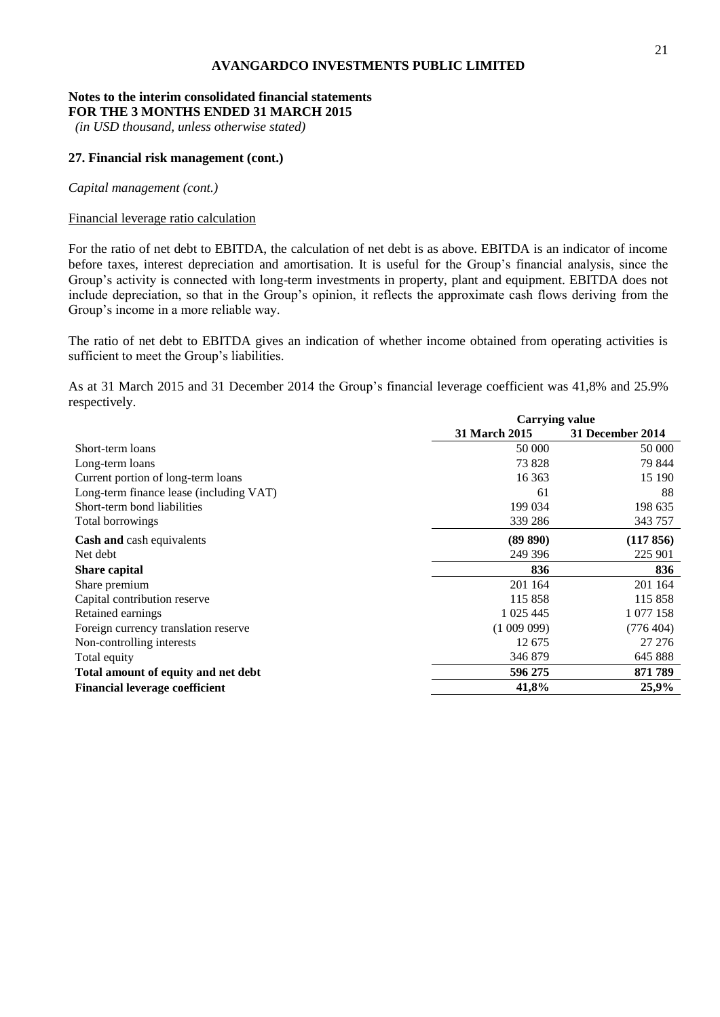#### **Notes to the interim consolidated financial statements FOR THE 3 MONTHS ENDED 31 MARCH 2015**

*(in USD thousand, unless otherwise stated)*

## **27. Financial risk management (cont.)**

*Capital management (cont.)*

## Financial leverage ratio calculation

For the ratio of net debt to EBITDA, the calculation of net debt is as above. EBITDA is an indicator of income before taxes, interest depreciation and amortisation. It is useful for the Group's financial analysis, since the Group's activity is connected with long-term investments in property, plant and equipment. EBITDA does not include depreciation, so that in the Group's opinion, it reflects the approximate cash flows deriving from the Group's income in a more reliable way.

The ratio of net debt to EBITDA gives an indication of whether income obtained from operating activities is sufficient to meet the Group's liabilities.

As at 31 March 2015 and 31 December 2014 the Group's financial leverage coefficient was 41,8% and 25.9% respectively. **Carrying 1** 

|                                         | Carrying value       |                  |  |  |
|-----------------------------------------|----------------------|------------------|--|--|
|                                         | <b>31 March 2015</b> | 31 December 2014 |  |  |
| Short-term loans                        | 50 000               | 50 000           |  |  |
| Long-term loans                         | 73 828               | 79 844           |  |  |
| Current portion of long-term loans      | 16 363               | 15 190           |  |  |
| Long-term finance lease (including VAT) | 61                   | 88               |  |  |
| Short-term bond liabilities             | 199 034              | 198 635          |  |  |
| Total borrowings                        | 339 286              | 343 757          |  |  |
| <b>Cash and cash equivalents</b>        | (89 890)             | (117 856)        |  |  |
| Net debt                                | 249 396              | 225 901          |  |  |
| <b>Share capital</b>                    | 836                  | 836              |  |  |
| Share premium                           | 201 164              | 201 164          |  |  |
| Capital contribution reserve            | 115 858              | 115 858          |  |  |
| Retained earnings                       | 1 025 445            | 1 077 158        |  |  |
| Foreign currency translation reserve    | (100909)             | (776 404)        |  |  |
| Non-controlling interests               | 12 675               | 27 27 6          |  |  |
| Total equity                            | 346 879              | 645 888          |  |  |
| Total amount of equity and net debt     | 596 275              | 871 789          |  |  |
| <b>Financial leverage coefficient</b>   | 41,8%                | 25,9%            |  |  |